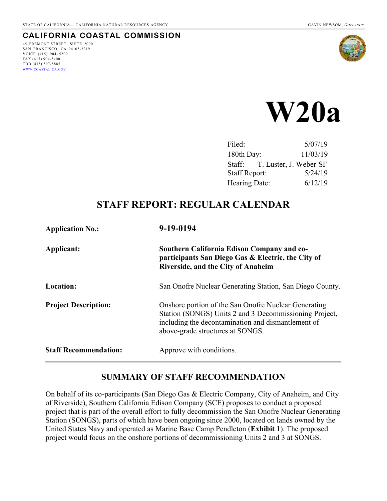## **CALIFORNIA COASTAL COMMISSION**

45 FREMONT STREET, SUITE 2000 SAN FRANCISCO, CA 94105-2219 VOICE (415) 904- 5200 FAX (415) 904-5400 TDD (415) 597-5885 WWW.[COASTAL](http://www.coastal.ca.gov/).CA.GOV





| Filed:                        | 5/07/19  |
|-------------------------------|----------|
| 180th Day:                    | 11/03/19 |
| Staff: T. Luster, J. Weber-SF |          |
| <b>Staff Report:</b>          | 5/24/19  |
| Hearing Date:                 | 6/12/19  |

## **STAFF REPORT: REGULAR CALENDAR**

| <b>Application No.:</b>      | 9-19-0194                                                                                                                                                                                                 |
|------------------------------|-----------------------------------------------------------------------------------------------------------------------------------------------------------------------------------------------------------|
| Applicant:                   | Southern California Edison Company and co-<br>participants San Diego Gas & Electric, the City of<br>Riverside, and the City of Anaheim                                                                    |
| <b>Location:</b>             | San Onofre Nuclear Generating Station, San Diego County.                                                                                                                                                  |
| <b>Project Description:</b>  | Onshore portion of the San Onofre Nuclear Generating<br>Station (SONGS) Units 2 and 3 Decommissioning Project,<br>including the decontamination and dismant lement of<br>above-grade structures at SONGS. |
| <b>Staff Recommendation:</b> | Approve with conditions.                                                                                                                                                                                  |

## **SUMMARY OF STAFF RECOMMENDATION**

On behalf of its co-participants (San Diego Gas & Electric Company, City of Anaheim, and City of Riverside), Southern California Edison Company (SCE) proposes to conduct a proposed project that is part of the overall effort to fully decommission the San Onofre Nuclear Generating Station (SONGS), parts of which have been ongoing since 2000, located on lands owned by the United States Navy and operated as Marine Base Camp Pendleton (**Exhibit 1**). The proposed project would focus on the onshore portions of decommissioning Units 2 and 3 at SONGS.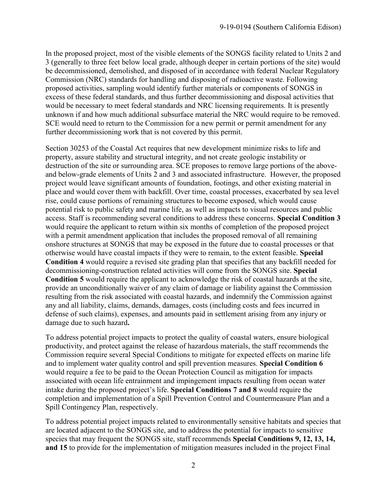In the proposed project, most of the visible elements of the SONGS facility related to Units 2 and 3 (generally to three feet below local grade, although deeper in certain portions of the site) would be decommissioned, demolished, and disposed of in accordance with federal Nuclear Regulatory Commission (NRC) standards for handling and disposing of radioactive waste. Following proposed activities, sampling would identify further materials or components of SONGS in excess of these federal standards, and thus further decommissioning and disposal activities that would be necessary to meet federal standards and NRC licensing requirements. It is presently unknown if and how much additional subsurface material the NRC would require to be removed. SCE would need to return to the Commission for a new permit or permit amendment for any further decommissioning work that is not covered by this permit.

Section 30253 of the Coastal Act requires that new development minimize risks to life and property, assure stability and structural integrity, and not create geologic instability or destruction of the site or surrounding area. SCE proposes to remove large portions of the aboveand below-grade elements of Units 2 and 3 and associated infrastructure. However, the proposed project would leave significant amounts of foundation, footings, and other existing material in place and would cover them with backfill. Over time, coastal processes, exacerbated by sea level rise, could cause portions of remaining structures to become exposed, which would cause potential risk to public safety and marine life, as well as impacts to visual resources and public access. Staff is recommending several conditions to address these concerns. **Special Condition 3** would require the applicant to return within six months of completion of the proposed project with a permit amendment application that includes the proposed removal of all remaining onshore structures at SONGS that may be exposed in the future due to coastal processes or that otherwise would have coastal impacts if they were to remain, to the extent feasible. **Special Condition 4** would require a revised site grading plan that specifies that any backfill needed for decommissioning-construction related activities will come from the SONGS site. **Special Condition 5** would require the applicant to acknowledge the risk of coastal hazards at the site, provide an unconditionally waiver of any claim of damage or liability against the Commission resulting from the risk associated with coastal hazards, and indemnify the Commission against any and all liability, claims, demands, damages, costs (including costs and fees incurred in defense of such claims), expenses, and amounts paid in settlement arising from any injury or damage due to such hazard**.** 

To address potential project impacts to protect the quality of coastal waters, ensure biological productivity, and protect against the release of hazardous materials, the staff recommends the Commission require several Special Conditions to mitigate for expected effects on marine life and to implement water quality control and spill prevention measures. **Special Condition 6** would require a fee to be paid to the Ocean Protection Council as mitigation for impacts associated with ocean life entrainment and impingement impacts resulting from ocean water intake during the proposed project's life. **Special Conditions 7 and 8** would require the completion and implementation of a Spill Prevention Control and Countermeasure Plan and a Spill Contingency Plan, respectively.

To address potential project impacts related to environmentally sensitive habitats and species that are located adjacent to the SONGS site, and to address the potential for impacts to sensitive species that may frequent the SONGS site, staff recommends **Special Conditions 9, 12, 13, 14, and 15** to provide for the implementation of mitigation measures included in the project Final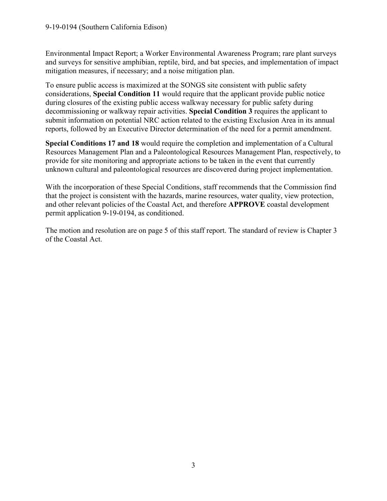Environmental Impact Report; a Worker Environmental Awareness Program; rare plant surveys and surveys for sensitive amphibian, reptile, bird, and bat species, and implementation of impact mitigation measures, if necessary; and a noise mitigation plan.

To ensure public access is maximized at the SONGS site consistent with public safety considerations, **Special Condition 11** would require that the applicant provide public notice during closures of the existing public access walkway necessary for public safety during decommissioning or walkway repair activities. **Special Condition 3** requires the applicant to submit information on potential NRC action related to the existing Exclusion Area in its annual reports, followed by an Executive Director determination of the need for a permit amendment.

**Special Conditions 17 and 18** would require the completion and implementation of a Cultural Resources Management Plan and a Paleontological Resources Management Plan, respectively, to provide for site monitoring and appropriate actions to be taken in the event that currently unknown cultural and paleontological resources are discovered during project implementation.

With the incorporation of these Special Conditions, staff recommends that the Commission find that the project is consistent with the hazards, marine resources, water quality, view protection, and other relevant policies of the Coastal Act, and therefore **APPROVE** coastal development permit application 9-19-0194, as conditioned.

The motion and resolution are on page 5 of this staff report. The standard of review is Chapter 3 of the Coastal Act.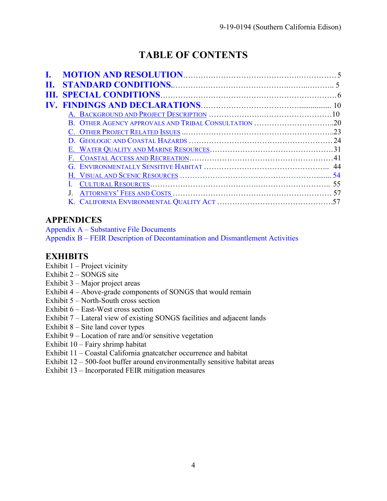# **TABLE OF CONTENTS**

| L  | <b>MOTION AND RESOLUTION MOTION</b> |  |
|----|-------------------------------------|--|
| Ш. |                                     |  |
|    |                                     |  |
|    |                                     |  |
|    |                                     |  |
|    |                                     |  |
|    |                                     |  |
|    |                                     |  |
|    |                                     |  |
|    |                                     |  |
|    | G.                                  |  |
|    |                                     |  |
|    |                                     |  |
|    |                                     |  |
|    |                                     |  |

## **APPENDICES**

[Appendix A – Substantive File Documents](#page-58-0)

Appendix B – FEIR Description of Decontamination and Dismantlement Activities

## **EXHIBITS**

- Exhibit  $1$  Project vicinity
- Exhibit 2 SONGS site
- Exhibit 3 Major project areas
- Exhibit 4 Above-grade components of SONGS that would remain
- Exhibit 5 North-South cross section
- Exhibit 6 East-West cross section
- Exhibit 7 Lateral view of existing SONGS facilities and adjacent lands
- Exhibit  $8 -$  Site land cover types
- Exhibit 9 Location of rare and/or sensitive vegetation
- Exhibit 10 Fairy shrimp habitat
- Exhibit 11 Coastal California gnatcatcher occurrence and habitat
- Exhibit 12 500-foot buffer around environmentally sensitive habitat areas
- Exhibit 13 Incorporated FEIR mitigation measures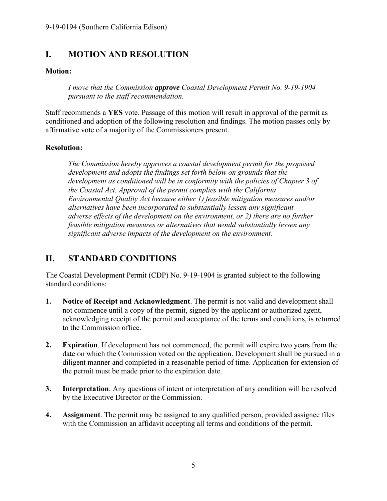## <span id="page-4-0"></span>**I. MOTION AND RESOLUTION**

## **Motion:**

*I move that the Commission approve Coastal Development Permit No. 9-19-1904 pursuant to the staff recommendation.* 

Staff recommends a **YES** vote. Passage of this motion will result in approval of the permit as conditioned and adoption of the following resolution and findings. The motion passes only by affirmative vote of a majority of the Commissioners present.

## **Resolution:**

*The Commission hereby approves a coastal development permit for the proposed development and adopts the findings set forth below on grounds that the*  development as conditioned will be in conformity with the policies of Chapter 3 of *the Coastal Act. Approval of the permit complies with the California Environmental Quality Act because either 1) feasible mitigation measures and/or alternatives have been incorporated to substantially lessen any significant adverse effects of the development on the environment, or 2) there are no further feasible mitigation measures or alternatives that would substantially lessen any significant adverse impacts of the development on the environment.* 

## <span id="page-4-1"></span>**II. STANDARD CONDITIONS**

The Coastal Development Permit (CDP) No. 9-19-1904 is granted subject to the following standard conditions:

- **1. Notice of Receipt and Acknowledgment**. The permit is not valid and development shall not commence until a copy of the permit, signed by the applicant or authorized agent, acknowledging receipt of the permit and acceptance of the terms and conditions, is returned to the Commission office.
- **2. Expiration**. If development has not commenced, the permit will expire two years from the date on which the Commission voted on the application. Development shall be pursued in a diligent manner and completed in a reasonable period of time. Application for extension of the permit must be made prior to the expiration date.
- **3. Interpretation**. Any questions of intent or interpretation of any condition will be resolved by the Executive Director or the Commission.
- **4. Assignment**. The permit may be assigned to any qualified person, provided assignee files with the Commission an affidavit accepting all terms and conditions of the permit.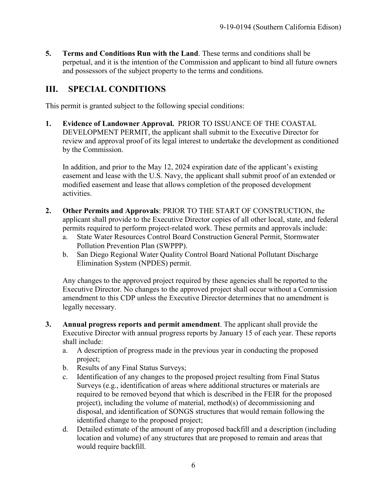**5. Terms and Conditions Run with the Land**. These terms and conditions shall be perpetual, and it is the intention of the Commission and applicant to bind all future owners and possessors of the subject property to the terms and conditions.

## <span id="page-5-0"></span>**III. SPECIAL CONDITIONS**

This permit is granted subject to the following special conditions:

**1. Evidence of Landowner Approval.** PRIOR TO ISSUANCE OF THE COASTAL DEVELOPMENT PERMIT, the applicant shall submit to the Executive Director for review and approval proof of its legal interest to undertake the development as conditioned by the Commission.

In addition, and prior to the May 12, 2024 expiration date of the applicant's existing easement and lease with the U.S. Navy, the applicant shall submit proof of an extended or modified easement and lease that allows completion of the proposed development activities.

- **2. Other Permits and Approvals**: PRIOR TO THE START OF CONSTRUCTION, the applicant shall provide to the Executive Director copies of all other local, state, and federal permits required to perform project-related work. These permits and approvals include:
	- a. State Water Resources Control Board Construction General Permit, Stormwater Pollution Prevention Plan (SWPPP).
	- b. San Diego Regional Water Quality Control Board National Pollutant Discharge Elimination System (NPDES) permit.

Any changes to the approved project required by these agencies shall be reported to the Executive Director. No changes to the approved project shall occur without a Commission amendment to this CDP unless the Executive Director determines that no amendment is legally necessary.

- **3. Annual progress reports and permit amendment**. The applicant shall provide the Executive Director with annual progress reports by January 15 of each year. These reports shall include:
	- a. A description of progress made in the previous year in conducting the proposed project;
	- b. Results of any Final Status Surveys;
	- c. Identification of any changes to the proposed project resulting from Final Status Surveys (e.g., identification of areas where additional structures or materials are required to be removed beyond that which is described in the FEIR for the proposed project), including the volume of material, method(s) of decommissioning and disposal, and identification of SONGS structures that would remain following the identified change to the proposed project;
	- d. Detailed estimate of the amount of any proposed backfill and a description (including location and volume) of any structures that are proposed to remain and areas that would require backfill.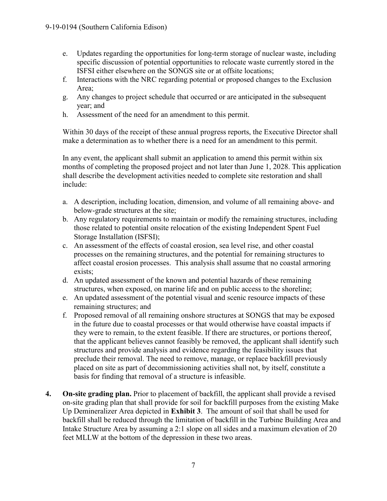- e. Updates regarding the opportunities for long-term storage of nuclear waste, including specific discussion of potential opportunities to relocate waste currently stored in the ISFSI either elsewhere on the SONGS site or at offsite locations;
- f. Interactions with the NRC regarding potential or proposed changes to the Exclusion Area;
- g. Any changes to project schedule that occurred or are anticipated in the subsequent year; and
- h. Assessment of the need for an amendment to this permit.

Within 30 days of the receipt of these annual progress reports, the Executive Director shall make a determination as to whether there is a need for an amendment to this permit.

In any event, the applicant shall submit an application to amend this permit within six months of completing the proposed project and not later than June 1, 2028. This application shall describe the development activities needed to complete site restoration and shall include:

- a. A description, including location, dimension, and volume of all remaining above- and below-grade structures at the site;
- b. Any regulatory requirements to maintain or modify the remaining structures, including those related to potential onsite relocation of the existing Independent Spent Fuel Storage Installation (ISFSI);
- c. An assessment of the effects of coastal erosion, sea level rise, and other coastal processes on the remaining structures, and the potential for remaining structures to affect coastal erosion processes. This analysis shall assume that no coastal armoring exists;
- d. An updated assessment of the known and potential hazards of these remaining structures, when exposed, on marine life and on public access to the shoreline;
- e. An updated assessment of the potential visual and scenic resource impacts of these remaining structures; and
- f. Proposed removal of all remaining onshore structures at SONGS that may be exposed in the future due to coastal processes or that would otherwise have coastal impacts if they were to remain, to the extent feasible. If there are structures, or portions thereof, that the applicant believes cannot feasibly be removed, the applicant shall identify such structures and provide analysis and evidence regarding the feasibility issues that preclude their removal. The need to remove, manage, or replace backfill previously placed on site as part of decommissioning activities shall not, by itself, constitute a basis for finding that removal of a structure is infeasible.
- **4. On-site grading plan.** Prior to placement of backfill, the applicant shall provide a revised on-site grading plan that shall provide for soil for backfill purposes from the existing Make Up Demineralizer Area depicted in **Exhibit 3**. The amount of soil that shall be used for backfill shall be reduced through the limitation of backfill in the Turbine Building Area and Intake Structure Area by assuming a 2:1 slope on all sides and a maximum elevation of 20 feet MLLW at the bottom of the depression in these two areas.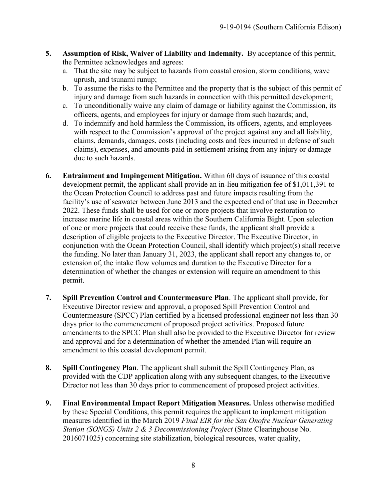- **5. Assumption of Risk, Waiver of Liability and Indemnity.** By acceptance of this permit, the Permittee acknowledges and agrees:
	- a. That the site may be subject to hazards from coastal erosion, storm conditions, wave uprush, and tsunami runup;
	- b. To assume the risks to the Permittee and the property that is the subject of this permit of injury and damage from such hazards in connection with this permitted development;
	- c. To unconditionally waive any claim of damage or liability against the Commission, its officers, agents, and employees for injury or damage from such hazards; and,
	- d. To indemnify and hold harmless the Commission, its officers, agents, and employees with respect to the Commission's approval of the project against any and all liability, claims, demands, damages, costs (including costs and fees incurred in defense of such claims), expenses, and amounts paid in settlement arising from any injury or damage due to such hazards.
- **6. Entrainment and Impingement Mitigation.** Within 60 days of issuance of this coastal development permit, the applicant shall provide an in-lieu mitigation fee of \$1,011,391 to the Ocean Protection Council to address past and future impacts resulting from the facility's use of seawater between June 2013 and the expected end of that use in December 2022. These funds shall be used for one or more projects that involve restoration to increase marine life in coastal areas within the Southern California Bight. Upon selection of one or more projects that could receive these funds, the applicant shall provide a description of eligible projects to the Executive Director. The Executive Director, in conjunction with the Ocean Protection Council, shall identify which project(s) shall receive the funding. No later than January 31, 2023, the applicant shall report any changes to, or extension of, the intake flow volumes and duration to the Executive Director for a determination of whether the changes or extension will require an amendment to this permit.
- **7. Spill Prevention Control and Countermeasure Plan**. The applicant shall provide, for Executive Director review and approval, a proposed Spill Prevention Control and Countermeasure (SPCC) Plan certified by a licensed professional engineer not less than 30 days prior to the commencement of proposed project activities. Proposed future amendments to the SPCC Plan shall also be provided to the Executive Director for review and approval and for a determination of whether the amended Plan will require an amendment to this coastal development permit.
- **8. Spill Contingency Plan**. The applicant shall submit the Spill Contingency Plan, as provided with the CDP application along with any subsequent changes, to the Executive Director not less than 30 days prior to commencement of proposed project activities.
- **9. Final Environmental Impact Report Mitigation Measures.** Unless otherwise modified by these Special Conditions, this permit requires the applicant to implement mitigation measures identified in the March 2019 *Final EIR for the San Onofre Nuclear Generating Station (SONGS) Units 2 & 3 Decommissioning Project (State Clearinghouse No.* 2016071025) concerning site stabilization, biological resources, water quality,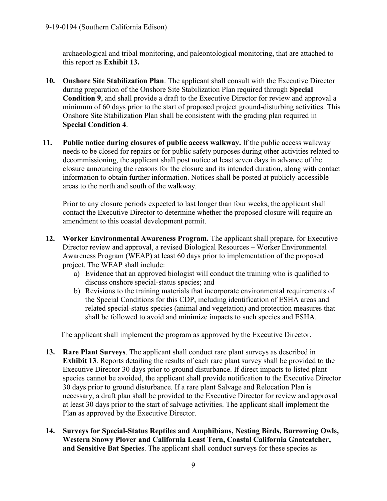archaeological and tribal monitoring, and paleontological monitoring, that are attached to this report as **Exhibit 13.** 

- **10. Onshore Site Stabilization Plan**. The applicant shall consult with the Executive Director during preparation of the Onshore Site Stabilization Plan required through **Special Condition 9**, and shall provide a draft to the Executive Director for review and approval a minimum of 60 days prior to the start of proposed project ground-disturbing activities. This Onshore Site Stabilization Plan shall be consistent with the grading plan required in **Special Condition 4**.
- **11. Public notice during closures of public access walkway.** If the public access walkway needs to be closed for repairs or for public safety purposes during other activities related to decommissioning, the applicant shall post notice at least seven days in advance of the closure announcing the reasons for the closure and its intended duration, along with contact information to obtain further information. Notices shall be posted at publicly-accessible areas to the north and south of the walkway.

Prior to any closure periods expected to last longer than four weeks, the applicant shall contact the Executive Director to determine whether the proposed closure will require an amendment to this coastal development permit.

- **12. Worker Environmental Awareness Program.** The applicant shall prepare, for Executive Director review and approval, a revised Biological Resources – Worker Environmental Awareness Program (WEAP) at least 60 days prior to implementation of the proposed project. The WEAP shall include:
	- a) Evidence that an approved biologist will conduct the training who is qualified to discuss onshore special-status species; and
	- b) Revisions to the training materials that incorporate environmental requirements of the Special Conditions for this CDP, including identification of ESHA areas and related special-status species (animal and vegetation) and protection measures that shall be followed to avoid and minimize impacts to such species and ESHA.

The applicant shall implement the program as approved by the Executive Director.

- **13. Rare Plant Surveys**. The applicant shall conduct rare plant surveys as described in **Exhibit 13**. Reports detailing the results of each rare plant survey shall be provided to the Executive Director 30 days prior to ground disturbance. If direct impacts to listed plant species cannot be avoided, the applicant shall provide notification to the Executive Director 30 days prior to ground disturbance. If a rare plant Salvage and Relocation Plan is necessary, a draft plan shall be provided to the Executive Director for review and approval at least 30 days prior to the start of salvage activities. The applicant shall implement the Plan as approved by the Executive Director.
- **14. Surveys for Special-Status Reptiles and Amphibians, Nesting Birds, Burrowing Owls, Western Snowy Plover and California Least Tern, Coastal California Gnatcatcher, and Sensitive Bat Species**. The applicant shall conduct surveys for these species as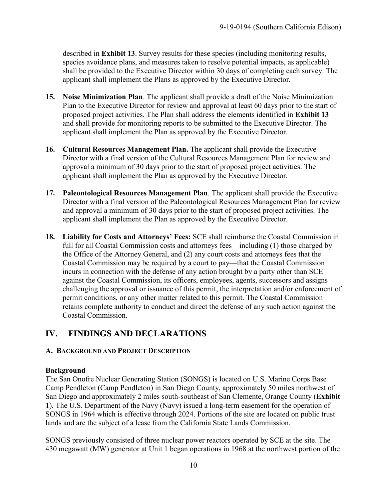described in **Exhibit 13**. Survey results for these species (including monitoring results, species avoidance plans, and measures taken to resolve potential impacts, as applicable) shall be provided to the Executive Director within 30 days of completing each survey. The applicant shall implement the Plans as approved by the Executive Director.

- **15. Noise Minimization Plan**. The applicant shall provide a draft of the Noise Minimization Plan to the Executive Director for review and approval at least 60 days prior to the start of proposed project activities. The Plan shall address the elements identified in **Exhibit 13** and shall provide for monitoring reports to be submitted to the Executive Director. The applicant shall implement the Plan as approved by the Executive Director.
- **16. Cultural Resources Management Plan.** The applicant shall provide the Executive Director with a final version of the Cultural Resources Management Plan for review and approval a minimum of 30 days prior to the start of proposed project activities. The applicant shall implement the Plan as approved by the Executive Director.
- **17. Paleontological Resources Management Plan**. The applicant shall provide the Executive Director with a final version of the Paleontological Resources Management Plan for review and approval a minimum of 30 days prior to the start of proposed project activities. The applicant shall implement the Plan as approved by the Executive Director.
- **18. Liability for Costs and Attorneys' Fees:** SCE shall reimburse the Coastal Commission in full for all Coastal Commission costs and attorneys fees—including (1) those charged by the Office of the Attorney General, and (2) any court costs and attorneys fees that the Coastal Commission may be required by a court to pay—that the Coastal Commission incurs in connection with the defense of any action brought by a party other than SCE against the Coastal Commission, its officers, employees, agents, successors and assigns challenging the approval or issuance of this permit, the interpretation and/or enforcement of permit conditions, or any other matter related to this permit. The Coastal Commission retains complete authority to conduct and direct the defense of any such action against the Coastal Commission.

## <span id="page-9-0"></span>**IV. FINDINGS AND DECLARATIONS**

### <span id="page-9-1"></span>**A. BACKGROUND AND PROJECT DESCRIPTION**

### **Background**

The San Onofre Nuclear Generating Station (SONGS) is located on U.S. Marine Corps Base Camp Pendleton (Camp Pendleton) in San Diego County, approximately 50 miles northwest of San Diego and approximately 2 miles south-southeast of San Clemente, Orange County (**Exhibit 1**). The U.S. Department of the Navy (Navy) issued a long-term easement for the operation of SONGS in 1964 which is effective through 2024. Portions of the site are located on public trust lands and are the subject of a lease from the California State Lands Commission.

SONGS previously consisted of three nuclear power reactors operated by SCE at the site. The 430 megawatt (MW) generator at Unit 1 began operations in 1968 at the northwest portion of the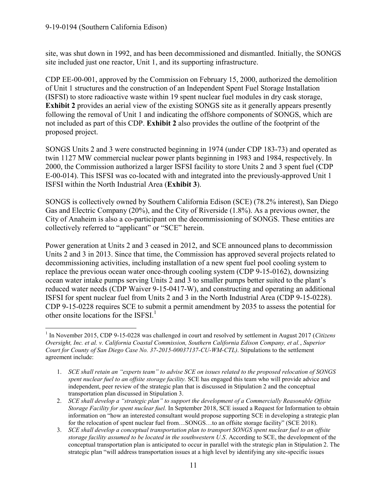site, was shut down in 1992, and has been decommissioned and dismantled. Initially, the SONGS site included just one reactor, Unit 1, and its supporting infrastructure.

CDP EE-00-001, approved by the Commission on February 15, 2000, authorized the demolition of Unit 1 structures and the construction of an Independent Spent Fuel Storage Installation (ISFSI) to store radioactive waste within 19 spent nuclear fuel modules in dry cask storage, **Exhibit 2** provides an aerial view of the existing SONGS site as it generally appears presently following the removal of Unit 1 and indicating the offshore components of SONGS, which are not included as part of this CDP. **Exhibit 2** also provides the outline of the footprint of the proposed project.

SONGS Units 2 and 3 were constructed beginning in 1974 (under CDP 183-73) and operated as twin 1127 MW commercial nuclear power plants beginning in 1983 and 1984, respectively. In 2000, the Commission authorized a larger ISFSI facility to store Units 2 and 3 spent fuel (CDP E-00-014). This ISFSI was co-located with and integrated into the previously-approved Unit 1 ISFSI within the North Industrial Area (**Exhibit 3**).

SONGS is collectively owned by Southern California Edison (SCE) (78.2% interest), San Diego Gas and Electric Company (20%), and the City of Riverside (1.8%). As a previous owner, the City of Anaheim is also a co-participant on the decommissioning of SONGS. These entities are collectively referred to "applicant" or "SCE" herein.

Power generation at Units 2 and 3 ceased in 2012, and SCE announced plans to decommission Units 2 and 3 in 2013. Since that time, the Commission has approved several projects related to decommissioning activities, including installation of a new spent fuel pool cooling system to replace the previous ocean water once-through cooling system (CDP 9-15-0162), downsizing ocean water intake pumps serving Units 2 and 3 to smaller pumps better suited to the plant's reduced water needs (CDP Waiver 9-15-0417-W), and constructing and operating an additional ISFSI for spent nuclear fuel from Units 2 and 3 in the North Industrial Area (CDP 9-15-0228). CDP 9-15-0228 requires SCE to submit a permit amendment by 2035 to assess the potential for other onsite locations for the ISFSI. $<sup>1</sup>$ </sup>

 $\overline{a}$ <sup>1</sup> In November 2015, CDP 9-15-0228 was challenged in court and resolved by settlement in August 2017 (*Citizens Oversight, Inc. et al. v. California Coastal Commission, Southern California Edison Company, et al.*, *Superior Court for County of San Diego Case No. 37-2015-00037137-CU-WM-CTL)*. Stipulations to the settlement agreement include:

<sup>1.</sup> *SCE shall retain an "experts team" to advise SCE on issues related to the proposed relocation of SONGS spent nuclear fuel to an offsite storage facility.* SCE has engaged this team who will provide advice and independent, peer review of the strategic plan that is discussed in Stipulation 2 and the conceptual transportation plan discussed in Stipulation 3.

<sup>2.</sup> *SCE shall develop a "strategic plan" to support the development of a Commercially Reasonable Offsite Storage Facility for spent nuclear fuel.* In September 2018, SCE issued a Request for Information to obtain information on "how an interested consultant would propose supporting SCE in developing a strategic plan for the relocation of spent nuclear fuel from…SONGS…to an offsite storage facility" (SCE 2018).

<sup>3.</sup> *SCE shall develop a conceptual transportation plan to transport SONGS spent nuclear fuel to an offsite storage facility assumed to be located in the southwestern U.S*. According to SCE, the development of the conceptual transportation plan is anticipated to occur in parallel with the strategic plan in Stipulation 2. The strategic plan "will address transportation issues at a high level by identifying any site-specific issues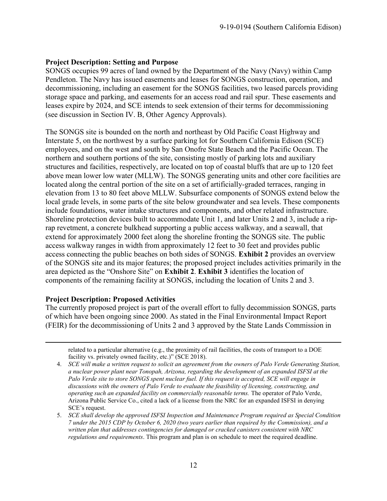### **Project Description: Setting and Purpose**

SONGS occupies 99 acres of land owned by the Department of the Navy (Navy) within Camp Pendleton. The Navy has issued easements and leases for SONGS construction, operation, and decommissioning, including an easement for the SONGS facilities, two leased parcels providing storage space and parking, and easements for an access road and rail spur. These easements and leases expire by 2024, and SCE intends to seek extension of their terms for decommissioning (see discussion in Section IV. B, Other Agency Approvals).

The SONGS site is bounded on the north and northeast by Old Pacific Coast Highway and Interstate 5, on the northwest by a surface parking lot for Southern California Edison (SCE) employees, and on the west and south by San Onofre State Beach and the Pacific Ocean. The northern and southern portions of the site, consisting mostly of parking lots and auxiliary structures and facilities, respectively, are located on top of coastal bluffs that are up to 120 feet above mean lower low water (MLLW). The SONGS generating units and other core facilities are located along the central portion of the site on a set of artificially-graded terraces, ranging in elevation from 13 to 80 feet above MLLW. Subsurface components of SONGS extend below the local grade levels, in some parts of the site below groundwater and sea levels. These components include foundations, water intake structures and components, and other related infrastructure. Shoreline protection devices built to accommodate Unit 1, and later Units 2 and 3, include a riprap revetment, a concrete bulkhead supporting a public access walkway, and a seawall, that extend for approximately 2000 feet along the shoreline fronting the SONGS site. The public access walkway ranges in width from approximately 12 feet to 30 feet and provides public access connecting the public beaches on both sides of SONGS. **Exhibit 2** provides an overview of the SONGS site and its major features; the proposed project includes activities primarily in the area depicted as the "Onshore Site" on **Exhibit 2**. **Exhibit 3** identifies the location of components of the remaining facility at SONGS, including the location of Units 2 and 3.

### **Project Description: Proposed Activities**

 $\overline{a}$ 

The currently proposed project is part of the overall effort to fully decommission SONGS, parts of which have been ongoing since 2000. As stated in the Final Environmental Impact Report (FEIR) for the decommissioning of Units 2 and 3 approved by the State Lands Commission in

related to a particular alternative (e.g., the proximity of rail facilities, the costs of transport to a DOE facility vs. privately owned facility, etc.)" (SCE 2018).

<sup>4.</sup> *SCE will make a written request to solicit an agreement from the owners of Palo Verde Generating Station, a nuclear power plant near Tonopah, Arizona, regarding the development of an expanded ISFSI at the Palo Verde site to store SONGS spent nuclear fuel. If this request is accepted, SCE will engage in discussions with the owners of Palo Verde to evaluate the feasibility of licensing, constructing, and operating such an expanded facility on commercially reasonable terms.* The operator of Palo Verde, Arizona Public Service Co., cited a lack of a license from the NRC for an expanded ISFSI in denying SCE's request.

<sup>5.</sup> *SCE shall develop the approved ISFSI Inspection and Maintenance Program required as Special Condition 7 under the 2015 CDP by October 6, 2020 (two years earlier than required by the Commission), and a written plan that addresses contingencies for damaged or cracked canisters consistent with NRC regulations and requirements*. This program and plan is on schedule to meet the required deadline.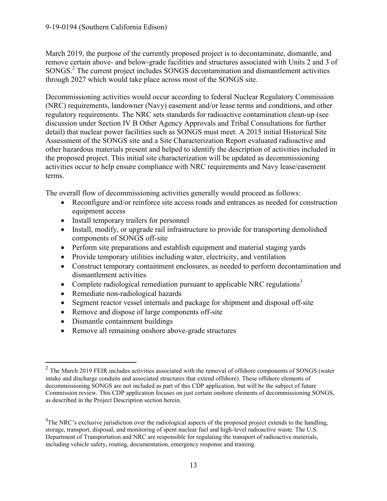March 2019, the purpose of the currently proposed project is to decontaminate, dismantle, and remove certain above- and below-grade facilities and structures associated with Units 2 and 3 of SONGS.<sup>2</sup> The current project includes SONGS decontamination and dismantlement activities through 2027 which would take place across most of the SONGS site.

Decommissioning activities would occur according to federal Nuclear Regulatory Commission (NRC) requirements, landowner (Navy) easement and/or lease terms and conditions, and other regulatory requirements. The NRC sets standards for radioactive contamination clean-up (see discussion under Section IV B Other Agency Approvals and Tribal Consultations for further detail) that nuclear power facilities such as SONGS must meet. A 2015 initial Historical Site Assessment of the SONGS site and a Site Characterization Report evaluated radioactive and other hazardous materials present and helped to identify the description of activities included in the proposed project. This initial site characterization will be updated as decommissioning activities occur to help ensure compliance with NRC requirements and Navy lease/easement terms.

The overall flow of decommissioning activities generally would proceed as follows:

- Reconfigure and/or reinforce site access roads and entrances as needed for construction equipment access
- Install temporary trailers for personnel
- Install, modify, or upgrade rail infrastructure to provide for transporting demolished components of SONGS off-site
- Perform site preparations and establish equipment and material staging yards
- Provide temporary utilities including water, electricity, and ventilation
- Construct temporary containment enclosures, as needed to perform decontamination and dismantlement activities
- Complete radiological remediation pursuant to applicable NRC regulations<sup>3</sup>
- Remediate non-radiological hazards
- Segment reactor vessel internals and package for shipment and disposal off-site
- Remove and dispose of large components off-site
- Dismantle containment buildings

 $\overline{a}$ 

• Remove all remaining onshore above-grade structures

 $2$  The March 2019 FEIR includes activities associated with the removal of offshore components of SONGS (water intake and discharge conduits and associated structures that extend offshore). These offshore elements of decommissioning SONGS are not included as part of this CDP application, but will be the subject of future Commission review. This CDP application focuses on just certain onshore elements of decommissioning SONGS, as described in the Project Description section herein.

 $3$ The NRC's exclusive jurisdiction over the radiological aspects of the proposed project extends to the handling, storage, transport, disposal, and monitoring of spent nuclear fuel and high-level radioactive waste. The U.S. Department of Transportation and NRC are responsible for regulating the transport of radioactive materials, including vehicle safety, routing, documentation, emergency response and training.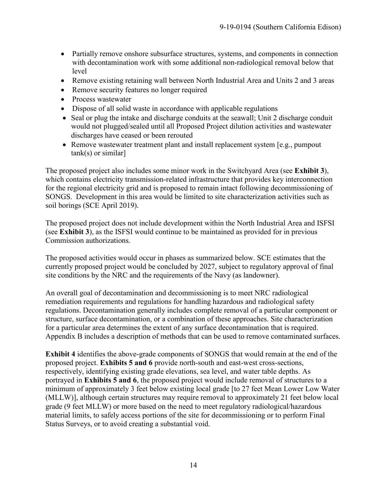- Partially remove onshore subsurface structures, systems, and components in connection with decontamination work with some additional non-radiological removal below that level
- Remove existing retaining wall between North Industrial Area and Units 2 and 3 areas
- Remove security features no longer required
- Process wastewater
- Dispose of all solid waste in accordance with applicable regulations
- Seal or plug the intake and discharge conduits at the seawall; Unit 2 discharge conduit would not plugged/sealed until all Proposed Project dilution activities and wastewater discharges have ceased or been rerouted
- Remove wastewater treatment plant and install replacement system [e.g., pumpout]  $tank(s)$  or similar]

The proposed project also includes some minor work in the Switchyard Area (see **Exhibit 3**), which contains electricity transmission-related infrastructure that provides key interconnection for the regional electricity grid and is proposed to remain intact following decommissioning of SONGS. Development in this area would be limited to site characterization activities such as soil borings (SCE April 2019).

The proposed project does not include development within the North Industrial Area and ISFSI (see **Exhibit 3**), as the ISFSI would continue to be maintained as provided for in previous Commission authorizations.

The proposed activities would occur in phases as summarized below. SCE estimates that the currently proposed project would be concluded by 2027, subject to regulatory approval of final site conditions by the NRC and the requirements of the Navy (as landowner).

An overall goal of decontamination and decommissioning is to meet NRC radiological remediation requirements and regulations for handling hazardous and radiological safety regulations. Decontamination generally includes complete removal of a particular component or structure, surface decontamination, or a combination of these approaches. Site characterization for a particular area determines the extent of any surface decontamination that is required. Appendix B includes a description of methods that can be used to remove contaminated surfaces.

**Exhibit 4** identifies the above-grade components of SONGS that would remain at the end of the proposed project. **Exhibits 5 and 6** provide north-south and east-west cross-sections, respectively, identifying existing grade elevations, sea level, and water table depths. As portrayed in **Exhibits 5 and 6**, the proposed project would include removal of structures to a minimum of approximately 3 feet below existing local grade [to 27 feet Mean Lower Low Water (MLLW)], although certain structures may require removal to approximately 21 feet below local grade (9 feet MLLW) or more based on the need to meet regulatory radiological/hazardous material limits, to safely access portions of the site for decommissioning or to perform Final Status Surveys, or to avoid creating a substantial void.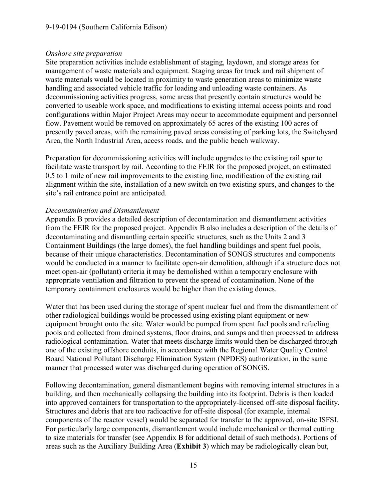#### *Onshore site preparation*

Site preparation activities include establishment of staging, laydown, and storage areas for management of waste materials and equipment. Staging areas for truck and rail shipment of waste materials would be located in proximity to waste generation areas to minimize waste handling and associated vehicle traffic for loading and unloading waste containers. As decommissioning activities progress, some areas that presently contain structures would be converted to useable work space, and modifications to existing internal access points and road configurations within Major Project Areas may occur to accommodate equipment and personnel flow. Pavement would be removed on approximately 65 acres of the existing 100 acres of presently paved areas, with the remaining paved areas consisting of parking lots, the Switchyard Area, the North Industrial Area, access roads, and the public beach walkway.

Preparation for decommissioning activities will include upgrades to the existing rail spur to facilitate waste transport by rail. According to the FEIR for the proposed project, an estimated 0.5 to 1 mile of new rail improvements to the existing line, modification of the existing rail alignment within the site, installation of a new switch on two existing spurs, and changes to the site's rail entrance point are anticipated.

#### *Decontamination and Dismantlement*

Appendix B provides a detailed description of decontamination and dismantlement activities from the FEIR for the proposed project. Appendix B also includes a description of the details of decontaminating and dismantling certain specific structures, such as the Units 2 and 3 Containment Buildings (the large domes), the fuel handling buildings and spent fuel pools, because of their unique characteristics. Decontamination of SONGS structures and components would be conducted in a manner to facilitate open-air demolition, although if a structure does not meet open-air (pollutant) criteria it may be demolished within a temporary enclosure with appropriate ventilation and filtration to prevent the spread of contamination. None of the temporary containment enclosures would be higher than the existing domes.

Water that has been used during the storage of spent nuclear fuel and from the dismantlement of other radiological buildings would be processed using existing plant equipment or new equipment brought onto the site. Water would be pumped from spent fuel pools and refueling pools and collected from drained systems, floor drains, and sumps and then processed to address radiological contamination. Water that meets discharge limits would then be discharged through one of the existing offshore conduits, in accordance with the Regional Water Quality Control Board National Pollutant Discharge Elimination System (NPDES) authorization, in the same manner that processed water was discharged during operation of SONGS.

Following decontamination, general dismantlement begins with removing internal structures in a building, and then mechanically collapsing the building into its footprint. Debris is then loaded into approved containers for transportation to the appropriately-licensed off-site disposal facility. Structures and debris that are too radioactive for off-site disposal (for example, internal components of the reactor vessel) would be separated for transfer to the approved, on-site ISFSI. For particularly large components, dismantlement would include mechanical or thermal cutting to size materials for transfer (see Appendix B for additional detail of such methods). Portions of areas such as the Auxiliary Building Area (**Exhibit 3**) which may be radiologically clean but,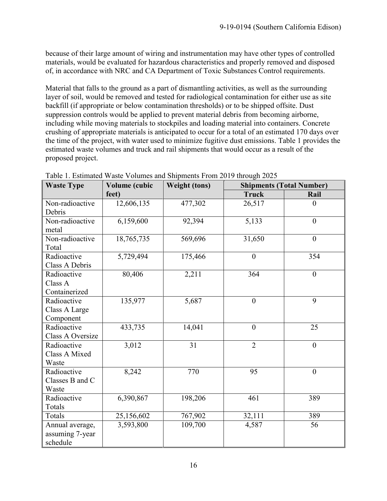because of their large amount of wiring and instrumentation may have other types of controlled materials, would be evaluated for hazardous characteristics and properly removed and disposed of, in accordance with NRC and CA Department of Toxic Substances Control requirements.

Material that falls to the ground as a part of dismantling activities, as well as the surrounding layer of soil, would be removed and tested for radiological contamination for either use as site backfill (if appropriate or below contamination thresholds) or to be shipped offsite. Dust suppression controls would be applied to prevent material debris from becoming airborne, including while moving materials to stockpiles and loading material into containers. Concrete crushing of appropriate materials is anticipated to occur for a total of an estimated 170 days over the time of the project, with water used to minimize fugitive dust emissions. Table 1 provides the estimated waste volumes and truck and rail shipments that would occur as a result of the proposed project.

| <b>Waste Type</b>                              | Volume (cubic | <b>Weight (tons)</b> | <b>Shipments (Total Number)</b> |                  |  |
|------------------------------------------------|---------------|----------------------|---------------------------------|------------------|--|
|                                                | feet)         |                      | <b>Truck</b>                    | Rail             |  |
| Non-radioactive<br>Debris                      | 12,606,135    | 477,302              | 26,517                          | $\overline{0}$   |  |
| Non-radioactive<br>metal                       | 6,159,600     | 92,394               | 5,133                           | $\boldsymbol{0}$ |  |
| Non-radioactive<br>Total                       | 18,765,735    | 569,696              | 31,650                          | $\boldsymbol{0}$ |  |
| Radioactive<br>Class A Debris                  | 5,729,494     | 175,466              | $\overline{0}$                  | 354              |  |
| Radioactive<br>Class A<br>Containerized        | 80,406        | 2,211                | 364                             | $\boldsymbol{0}$ |  |
| Radioactive<br>Class A Large<br>Component      | 135,977       | 5,687                | $\overline{0}$                  | 9                |  |
| Radioactive<br>Class A Oversize                | 433,735       | 14,041               | $\boldsymbol{0}$                | 25               |  |
| Radioactive<br>Class A Mixed<br>Waste          | 3,012         | 31                   | $\overline{2}$                  | $\overline{0}$   |  |
| Radioactive<br>Classes B and C<br>Waste        | 8,242         | 770                  | 95                              | $\mathbf{0}$     |  |
| Radioactive<br>Totals                          | 6,390,867     | 198,206              | 461                             | 389              |  |
| Totals                                         | 25,156,602    | 767,902              | 32,111                          | 389              |  |
| Annual average,<br>assuming 7-year<br>schedule | 3,593,800     | 109,700              | 4,587                           | 56               |  |

|  | Table 1. Estimated Waste Volumes and Shipments From 2019 through 2025 |  |  |  |  |  |  |  |  |
|--|-----------------------------------------------------------------------|--|--|--|--|--|--|--|--|
|--|-----------------------------------------------------------------------|--|--|--|--|--|--|--|--|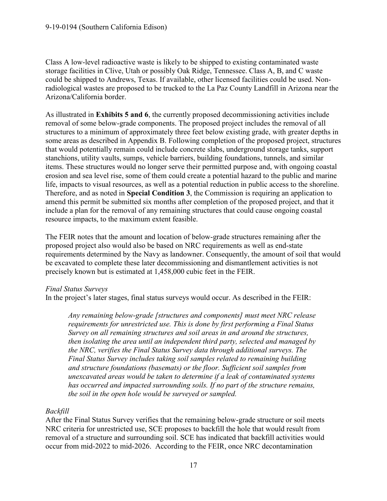Class A low-level radioactive waste is likely to be shipped to existing contaminated waste storage facilities in Clive, Utah or possibly Oak Ridge, Tennessee. Class A, B, and C waste could be shipped to Andrews, Texas. If available, other licensed facilities could be used. Nonradiological wastes are proposed to be trucked to the La Paz County Landfill in Arizona near the Arizona/California border.

As illustrated in **Exhibits 5 and 6**, the currently proposed decommissioning activities include removal of some below-grade components. The proposed project includes the removal of all structures to a minimum of approximately three feet below existing grade, with greater depths in some areas as described in Appendix B. Following completion of the proposed project, structures that would potentially remain could include concrete slabs, underground storage tanks, support stanchions, utility vaults, sumps, vehicle barriers, building foundations, tunnels, and similar items. These structures would no longer serve their permitted purpose and, with ongoing coastal erosion and sea level rise, some of them could create a potential hazard to the public and marine life, impacts to visual resources, as well as a potential reduction in public access to the shoreline. Therefore, and as noted in **Special Condition 3**, the Commission is requiring an application to amend this permit be submitted six months after completion of the proposed project, and that it include a plan for the removal of any remaining structures that could cause ongoing coastal resource impacts, to the maximum extent feasible.

The FEIR notes that the amount and location of below-grade structures remaining after the proposed project also would also be based on NRC requirements as well as end-state requirements determined by the Navy as landowner. Consequently, the amount of soil that would be excavated to complete these later decommissioning and dismantlement activities is not precisely known but is estimated at 1,458,000 cubic feet in the FEIR.

#### *Final Status Surveys*

In the project's later stages, final status surveys would occur. As described in the FEIR:

*Any remaining below-grade [structures and components] must meet NRC release requirements for unrestricted use. This is done by first performing a Final Status Survey on all remaining structures and soil areas in and around the structures, then isolating the area until an independent third party, selected and managed by the NRC, verifies the Final Status Survey data through additional surveys. The Final Status Survey includes taking soil samples related to remaining building and structure foundations (basemats) or the floor. Sufficient soil samples from unexcavated areas would be taken to determine if a leak of contaminated systems has occurred and impacted surrounding soils. If no part of the structure remains, the soil in the open hole would be surveyed or sampled.* 

### *Backfill*

After the Final Status Survey verifies that the remaining below-grade structure or soil meets NRC criteria for unrestricted use, SCE proposes to backfill the hole that would result from removal of a structure and surrounding soil. SCE has indicated that backfill activities would occur from mid-2022 to mid-2026. According to the FEIR, once NRC decontamination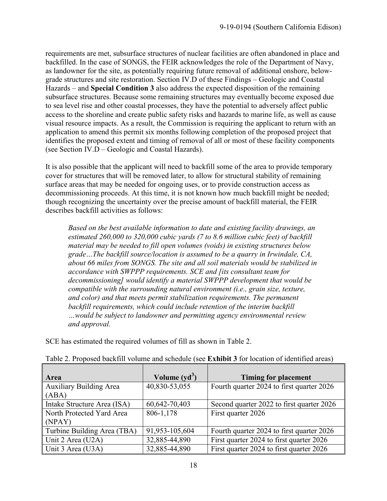requirements are met, subsurface structures of nuclear facilities are often abandoned in place and backfilled. In the case of SONGS, the FEIR acknowledges the role of the Department of Navy, as landowner for the site, as potentially requiring future removal of additional onshore, belowgrade structures and site restoration. Section IV.D of these Findings – Geologic and Coastal Hazards – and **Special Condition 3** also address the expected disposition of the remaining subsurface structures. Because some remaining structures may eventually become exposed due to sea level rise and other coastal processes, they have the potential to adversely affect public access to the shoreline and create public safety risks and hazards to marine life, as well as cause visual resource impacts. As a result, the Commission is requiring the applicant to return with an application to amend this permit six months following completion of the proposed project that identifies the proposed extent and timing of removal of all or most of these facility components (see Section IV.D – Geologic and Coastal Hazards).

It is also possible that the applicant will need to backfill some of the area to provide temporary cover for structures that will be removed later, to allow for structural stability of remaining surface areas that may be needed for ongoing uses, or to provide construction access as decommissioning proceeds. At this time, it is not known how much backfill might be needed; though recognizing the uncertainty over the precise amount of backfill material, the FEIR describes backfill activities as follows:

*Based on the best available information to date and existing facility drawings, an estimated 260,000 to 320,000 cubic yards (7 to 8.6 million cubic feet) of backfill material may be needed to fill open volumes (voids) in existing structures below grade…The backfill source/location is assumed to be a quarry in Irwindale, CA, about 66 miles from SONGS. The site and all soil materials would be stabilized in accordance with SWPPP requirements. SCE and [its consultant team for decommissioning] would identify a material SWPPP development that would be compatible with the surrounding natural environment (i.e., grain size, texture, and color) and that meets permit stabilization requirements. The permanent backfill requirements, which could include retention of the interim backfill …would be subject to landowner and permitting agency environmental review and approval.* 

SCE has estimated the required volumes of fill as shown in Table 2.

| <b>Area</b>                    | Volume $(yd^3)$ | <b>Timing for placement</b>               |
|--------------------------------|-----------------|-------------------------------------------|
| <b>Auxiliary Building Area</b> | 40,830-53,055   | Fourth quarter 2024 to first quarter 2026 |
| (ABA)                          |                 |                                           |
| Intake Structure Area (ISA)    | 60,642-70,403   | Second quarter 2022 to first quarter 2026 |
| North Protected Yard Area      | 806-1,178       | First quarter 2026                        |
| (NPAY)                         |                 |                                           |
| Turbine Building Area (TBA)    | 91,953-105,604  | Fourth quarter 2024 to first quarter 2026 |
| Unit 2 Area $(U2A)$            | 32,885-44,890   | First quarter 2024 to first quarter 2026  |
| Unit 3 Area $(U3A)$            | 32,885-44,890   | First quarter 2024 to first quarter 2026  |

|  |  |  | Table 2. Proposed backfill volume and schedule (see Exhibit 3 for location of identified areas) |
|--|--|--|-------------------------------------------------------------------------------------------------|
|--|--|--|-------------------------------------------------------------------------------------------------|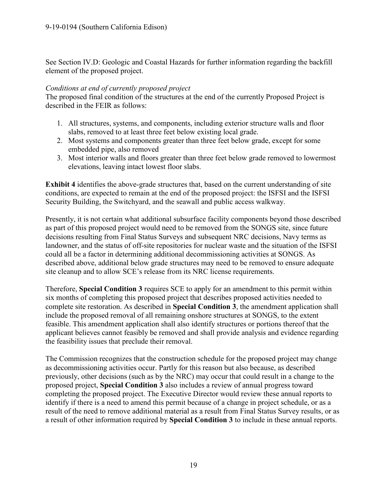See Section IV.D: Geologic and Coastal Hazards for further information regarding the backfill element of the proposed project.

#### *Conditions at end of currently proposed project*

The proposed final condition of the structures at the end of the currently Proposed Project is described in the FEIR as follows:

- 1. All structures, systems, and components, including exterior structure walls and floor slabs, removed to at least three feet below existing local grade.
- 2. Most systems and components greater than three feet below grade, except for some embedded pipe, also removed
- 3. Most interior walls and floors greater than three feet below grade removed to lowermost elevations, leaving intact lowest floor slabs.

**Exhibit 4** identifies the above-grade structures that, based on the current understanding of site conditions, are expected to remain at the end of the proposed project: the ISFSI and the ISFSI Security Building, the Switchyard, and the seawall and public access walkway.

Presently, it is not certain what additional subsurface facility components beyond those described as part of this proposed project would need to be removed from the SONGS site, since future decisions resulting from Final Status Surveys and subsequent NRC decisions, Navy terms as landowner, and the status of off-site repositories for nuclear waste and the situation of the ISFSI could all be a factor in determining additional decommissioning activities at SONGS. As described above, additional below grade structures may need to be removed to ensure adequate site cleanup and to allow SCE's release from its NRC license requirements.

Therefore, **Special Condition 3** requires SCE to apply for an amendment to this permit within six months of completing this proposed project that describes proposed activities needed to complete site restoration. As described in **Special Condition 3**, the amendment application shall include the proposed removal of all remaining onshore structures at SONGS, to the extent feasible. This amendment application shall also identify structures or portions thereof that the applicant believes cannot feasibly be removed and shall provide analysis and evidence regarding the feasibility issues that preclude their removal.

The Commission recognizes that the construction schedule for the proposed project may change as decommissioning activities occur. Partly for this reason but also because, as described previously, other decisions (such as by the NRC) may occur that could result in a change to the proposed project, **Special Condition 3** also includes a review of annual progress toward completing the proposed project. The Executive Director would review these annual reports to identify if there is a need to amend this permit because of a change in project schedule, or as a result of the need to remove additional material as a result from Final Status Survey results, or as a result of other information required by **Special Condition 3** to include in these annual reports.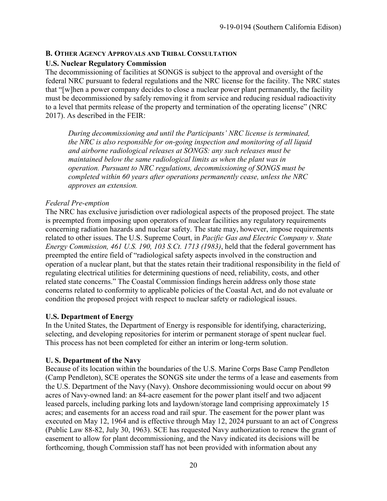## <span id="page-19-0"></span>**B. OTHER AGENCY APPROVALS AND TRIBAL CONSULTATION**

## **U.S. Nuclear Regulatory Commission**

The decommissioning of facilities at SONGS is subject to the approval and oversight of the federal NRC pursuant to federal regulations and the NRC license for the facility. The NRC states that "[w]hen a power company decides to close a nuclear power plant permanently, the facility must be decommissioned by safely removing it from service and reducing residual radioactivity to a level that permits release of the property and termination of the operating license" (NRC 2017). As described in the FEIR:

*During decommissioning and until the Participants' NRC license is terminated, the NRC is also responsible for on-going inspection and monitoring of all liquid and airborne radiological releases at SONGS: any such releases must be maintained below the same radiological limits as when the plant was in operation. Pursuant to NRC regulations, decommissioning of SONGS must be completed within 60 years after operations permanently cease, unless the NRC approves an extension.* 

## *Federal Pre-emption*

The NRC has exclusive jurisdiction over radiological aspects of the proposed project. The state is preempted from imposing upon operators of nuclear facilities any regulatory requirements concerning radiation hazards and nuclear safety. The state may, however, impose requirements related to other issues. The U.S. Supreme Court, in *Pacific Gas and Electric Company v. State Energy Commission, 461 U.S. 190, 103 S.Ct. 1713 (1983)*, held that the federal government has preempted the entire field of "radiological safety aspects involved in the construction and operation of a nuclear plant, but that the states retain their traditional responsibility in the field of regulating electrical utilities for determining questions of need, reliability, costs, and other related state concerns." The Coastal Commission findings herein address only those state concerns related to conformity to applicable policies of the Coastal Act, and do not evaluate or condition the proposed project with respect to nuclear safety or radiological issues.

## **U.S. Department of Energy**

In the United States, the Department of Energy is responsible for identifying, characterizing, selecting, and developing repositories for interim or permanent storage of spent nuclear fuel. This process has not been completed for either an interim or long-term solution.

## **U. S. Department of the Navy**

Because of its location within the boundaries of the U.S. Marine Corps Base Camp Pendleton (Camp Pendleton), SCE operates the SONGS site under the terms of a lease and easements from the U.S. Department of the Navy (Navy). Onshore decommissioning would occur on about 99 acres of Navy-owned land: an 84-acre easement for the power plant itself and two adjacent leased parcels, including parking lots and laydown/storage land comprising approximately 15 acres; and easements for an access road and rail spur. The easement for the power plant was executed on May 12, 1964 and is effective through May 12, 2024 pursuant to an act of Congress (Public Law 88-82, July 30, 1963). SCE has requested Navy authorization to renew the grant of easement to allow for plant decommissioning, and the Navy indicated its decisions will be forthcoming, though Commission staff has not been provided with information about any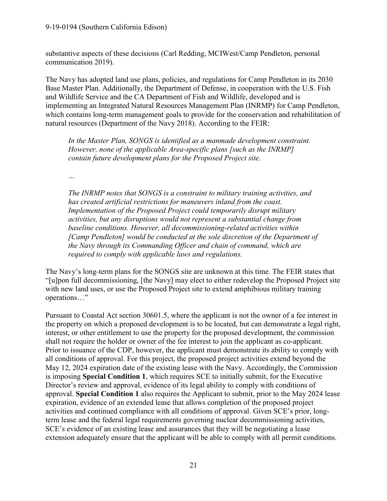substantive aspects of these decisions (Carl Redding, MCIWest/Camp Pendleton, personal communication 2019).

The Navy has adopted land use plans, policies, and regulations for Camp Pendleton in its 2030 Base Master Plan. Additionally, the Department of Defense, in cooperation with the U.S. Fish and Wildlife Service and the CA Department of Fish and Wildlife, developed and is implementing an Integrated Natural Resources Management Plan (INRMP) for Camp Pendleton, which contains long-term management goals to provide for the conservation and rehabilitation of natural resources (Department of the Navy 2018). According to the FEIR:

*In the Master Plan, SONGS is identified as a manmade development constraint. However, none of the applicable Area-specific plans [such as the INRMP] contain future development plans for the Proposed Project site.* 

*…* 

*The INRMP notes that SONGS is a constraint to military training activities, and has created artificial restrictions for maneuvers inland from the coast. Implementation of the Proposed Project could temporarily disrupt military activities, but any disruptions would not represent a substantial change from baseline conditions. However, all decommissioning-related activities within [Camp Pendleton] would be conducted at the sole discretion of the Department of the Navy through its Commanding Officer and chain of command, which are required to comply with applicable laws and regulations.* 

The Navy's long-term plans for the SONGS site are unknown at this time. The FEIR states that "[u]pon full decommissioning, [the Navy] may elect to either redevelop the Proposed Project site with new land uses, or use the Proposed Project site to extend amphibious military training operations…"

Pursuant to Coastal Act section 30601.5, where the applicant is not the owner of a fee interest in the property on which a proposed development is to be located, but can demonstrate a legal right, interest, or other entitlement to use the property for the proposed development, the commission shall not require the holder or owner of the fee interest to join the applicant as co-applicant. Prior to issuance of the CDP, however, the applicant must demonstrate its ability to comply with all conditions of approval. For this project, the proposed project activities extend beyond the May 12, 2024 expiration date of the existing lease with the Navy. Accordingly, the Commission is imposing **Special Condition 1**, which requires SCE to initially submit, for the Executive Director's review and approval, evidence of its legal ability to comply with conditions of approval. **Special Condition 1** also requires the Applicant to submit, prior to the May 2024 lease expiration, evidence of an extended lease that allows completion of the proposed project activities and continued compliance with all conditions of approval. Given SCE's prior, longterm lease and the federal legal requirements governing nuclear decommissioning activities, SCE's evidence of an existing lease and assurances that they will be negotiating a lease extension adequately ensure that the applicant will be able to comply with all permit conditions.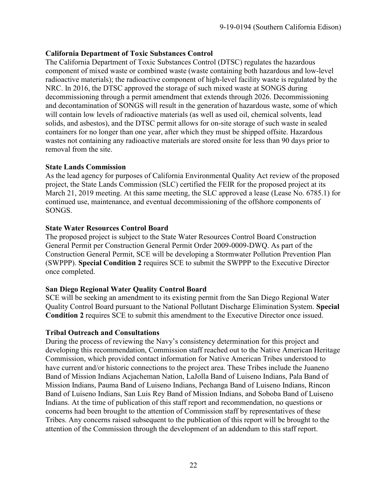## **California Department of Toxic Substances Control**

The California Department of Toxic Substances Control (DTSC) regulates the hazardous component of mixed waste or combined waste (waste containing both hazardous and low-level radioactive materials); the radioactive component of high-level facility waste is regulated by the NRC. In 2016, the DTSC approved the storage of such mixed waste at SONGS during decommissioning through a permit amendment that extends through 2026. Decommissioning and decontamination of SONGS will result in the generation of hazardous waste, some of which will contain low levels of radioactive materials (as well as used oil, chemical solvents, lead solids, and asbestos), and the DTSC permit allows for on-site storage of such waste in sealed containers for no longer than one year, after which they must be shipped offsite. Hazardous wastes not containing any radioactive materials are stored onsite for less than 90 days prior to removal from the site.

### **State Lands Commission**

As the lead agency for purposes of California Environmental Quality Act review of the proposed project, the State Lands Commission (SLC) certified the FEIR for the proposed project at its March 21, 2019 meeting. At this same meeting, the SLC approved a lease (Lease No. 6785.1) for continued use, maintenance, and eventual decommissioning of the offshore components of SONGS.

## **State Water Resources Control Board**

The proposed project is subject to the State Water Resources Control Board Construction General Permit per Construction General Permit Order 2009-0009-DWQ. As part of the Construction General Permit, SCE will be developing a Stormwater Pollution Prevention Plan (SWPPP). **Special Condition 2** requires SCE to submit the SWPPP to the Executive Director once completed.

## **San Diego Regional Water Quality Control Board**

SCE will be seeking an amendment to its existing permit from the San Diego Regional Water Quality Control Board pursuant to the National Pollutant Discharge Elimination System. **Special Condition 2** requires SCE to submit this amendment to the Executive Director once issued.

### **Tribal Outreach and Consultations**

During the process of reviewing the Navy's consistency determination for this project and developing this recommendation, Commission staff reached out to the Native American Heritage Commission, which provided contact information for Native American Tribes understood to have current and/or historic connections to the project area. These Tribes include the Juaneno Band of Mission Indians Acjacheman Nation, LaJolla Band of Luiseno Indians, Pala Band of Mission Indians, Pauma Band of Luiseno Indians, Pechanga Band of Luiseno Indians, Rincon Band of Luiseno Indians, San Luis Rey Band of Mission Indians, and Soboba Band of Luiseno Indians. At the time of publication of this staff report and recommendation, no questions or concerns had been brought to the attention of Commission staff by representatives of these Tribes. Any concerns raised subsequent to the publication of this report will be brought to the attention of the Commission through the development of an addendum to this staff report.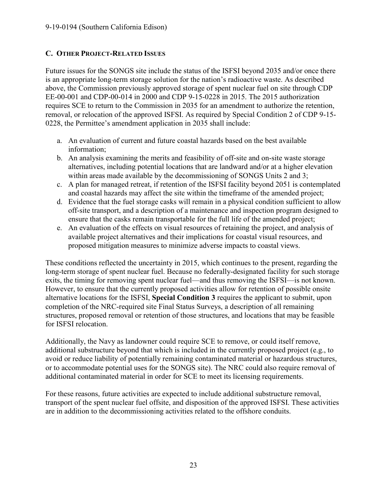## <span id="page-22-0"></span>**C. OTHER PROJECT-RELATED ISSUES**

Future issues for the SONGS site include the status of the ISFSI beyond 2035 and/or once there is an appropriate long-term storage solution for the nation's radioactive waste. As described above, the Commission previously approved storage of spent nuclear fuel on site through CDP EE-00-001 and CDP-00-014 in 2000 and CDP 9-15-0228 in 2015. The 2015 authorization requires SCE to return to the Commission in 2035 for an amendment to authorize the retention, removal, or relocation of the approved ISFSI. As required by Special Condition 2 of CDP 9-15- 0228, the Permittee's amendment application in 2035 shall include:

- a. An evaluation of current and future coastal hazards based on the best available information;
- b. An analysis examining the merits and feasibility of off-site and on-site waste storage alternatives, including potential locations that are landward and/or at a higher elevation within areas made available by the decommissioning of SONGS Units 2 and 3;
- c. A plan for managed retreat, if retention of the ISFSI facility beyond 2051 is contemplated and coastal hazards may affect the site within the timeframe of the amended project;
- d. Evidence that the fuel storage casks will remain in a physical condition sufficient to allow off-site transport, and a description of a maintenance and inspection program designed to ensure that the casks remain transportable for the full life of the amended project;
- e. An evaluation of the effects on visual resources of retaining the project, and analysis of available project alternatives and their implications for coastal visual resources, and proposed mitigation measures to minimize adverse impacts to coastal views.

These conditions reflected the uncertainty in 2015, which continues to the present, regarding the long-term storage of spent nuclear fuel. Because no federally-designated facility for such storage exits, the timing for removing spent nuclear fuel—and thus removing the ISFSI—is not known. However, to ensure that the currently proposed activities allow for retention of possible onsite alternative locations for the ISFSI, **Special Condition 3** requires the applicant to submit, upon completion of the NRC-required site Final Status Surveys, a description of all remaining structures, proposed removal or retention of those structures, and locations that may be feasible for ISFSI relocation.

Additionally, the Navy as landowner could require SCE to remove, or could itself remove, additional substructure beyond that which is included in the currently proposed project (e.g., to avoid or reduce liability of potentially remaining contaminated material or hazardous structures, or to accommodate potential uses for the SONGS site). The NRC could also require removal of additional contaminated material in order for SCE to meet its licensing requirements.

For these reasons, future activities are expected to include additional substructure removal, transport of the spent nuclear fuel offsite, and disposition of the approved ISFSI. These activities are in addition to the decommissioning activities related to the offshore conduits.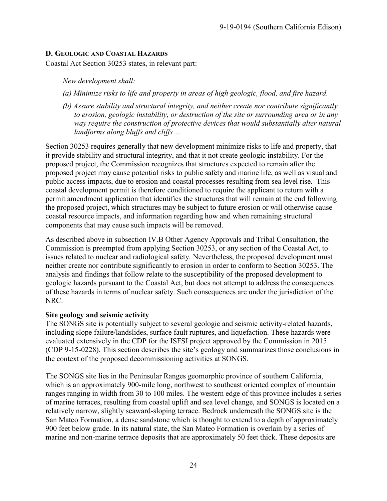## <span id="page-23-0"></span>**D. GEOLOGIC AND COASTAL HAZARDS**

Coastal Act Section 30253 states, in relevant part:

*New development shall:* 

- *(a) Minimize risks to life and property in areas of high geologic, flood, and fire hazard.*
- *(b) Assure stability and structural integrity, and neither create nor contribute significantly to erosion, geologic instability, or destruction of the site or surrounding area or in any way require the construction of protective devices that would substantially alter natural landforms along bluffs and cliffs …*

Section 30253 requires generally that new development minimize risks to life and property, that it provide stability and structural integrity, and that it not create geologic instability. For the proposed project, the Commission recognizes that structures expected to remain after the proposed project may cause potential risks to public safety and marine life, as well as visual and public access impacts, due to erosion and coastal processes resulting from sea level rise. This coastal development permit is therefore conditioned to require the applicant to return with a permit amendment application that identifies the structures that will remain at the end following the proposed project, which structures may be subject to future erosion or will otherwise cause coastal resource impacts, and information regarding how and when remaining structural components that may cause such impacts will be removed.

As described above in subsection IV.B Other Agency Approvals and Tribal Consultation, the Commission is preempted from applying Section 30253, or any section of the Coastal Act, to issues related to nuclear and radiological safety. Nevertheless, the proposed development must neither create nor contribute significantly to erosion in order to conform to Section 30253. The analysis and findings that follow relate to the susceptibility of the proposed development to geologic hazards pursuant to the Coastal Act, but does not attempt to address the consequences of these hazards in terms of nuclear safety. Such consequences are under the jurisdiction of the NRC.

### **Site geology and seismic activity**

The SONGS site is potentially subject to several geologic and seismic activity-related hazards, including slope failure/landslides, surface fault ruptures, and liquefaction. These hazards were evaluated extensively in the CDP for the ISFSI project approved by the Commission in 2015 (CDP 9-15-0228). This section describes the site's geology and summarizes those conclusions in the context of the proposed decommissioning activities at SONGS.

The SONGS site lies in the Peninsular Ranges geomorphic province of southern California, which is an approximately 900-mile long, northwest to southeast oriented complex of mountain ranges ranging in width from 30 to 100 miles. The western edge of this province includes a series of marine terraces, resulting from coastal uplift and sea level change, and SONGS is located on a relatively narrow, slightly seaward-sloping terrace. Bedrock underneath the SONGS site is the San Mateo Formation, a dense sandstone which is thought to extend to a depth of approximately 900 feet below grade. In its natural state, the San Mateo Formation is overlain by a series of marine and non-marine terrace deposits that are approximately 50 feet thick. These deposits are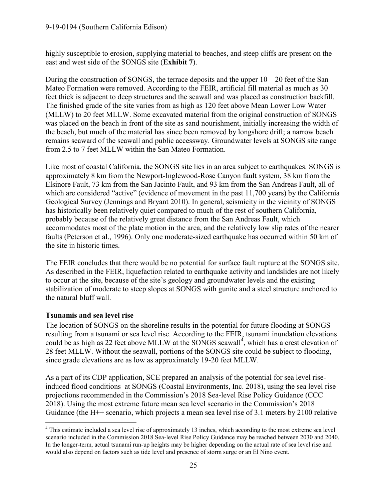#### 9-19-0194 (Southern California Edison)

highly susceptible to erosion, supplying material to beaches, and steep cliffs are present on the east and west side of the SONGS site (**Exhibit 7**).

During the construction of SONGS, the terrace deposits and the upper  $10 - 20$  feet of the San Mateo Formation were removed. According to the FEIR, artificial fill material as much as 30 feet thick is adjacent to deep structures and the seawall and was placed as construction backfill. The finished grade of the site varies from as high as 120 feet above Mean Lower Low Water (MLLW) to 20 feet MLLW. Some excavated material from the original construction of SONGS was placed on the beach in front of the site as sand nourishment, initially increasing the width of the beach, but much of the material has since been removed by longshore drift; a narrow beach remains seaward of the seawall and public accessway. Groundwater levels at SONGS site range from 2.5 to 7 feet MLLW within the San Mateo Formation.

Like most of coastal California, the SONGS site lies in an area subject to earthquakes. SONGS is approximately 8 km from the Newport-Inglewood-Rose Canyon fault system, 38 km from the Elsinore Fault, 73 km from the San Jacinto Fault, and 93 km from the San Andreas Fault, all of which are considered "active" (evidence of movement in the past 11,700 years) by the California Geological Survey (Jennings and Bryant 2010). In general, seismicity in the vicinity of SONGS has historically been relatively quiet compared to much of the rest of southern California, probably because of the relatively great distance from the San Andreas Fault, which accommodates most of the plate motion in the area, and the relatively low slip rates of the nearer faults (Peterson et al., 1996). Only one moderate-sized earthquake has occurred within 50 km of the site in historic times.

The FEIR concludes that there would be no potential for surface fault rupture at the SONGS site. As described in the FEIR, liquefaction related to earthquake activity and landslides are not likely to occur at the site, because of the site's geology and groundwater levels and the existing stabilization of moderate to steep slopes at SONGS with gunite and a steel structure anchored to the natural bluff wall.

### **Tsunamis and sea level rise**

 $\overline{a}$ 

The location of SONGS on the shoreline results in the potential for future flooding at SONGS resulting from a tsunami or sea level rise. According to the FEIR, tsunami inundation elevations could be as high as 22 feet above MLLW at the SONGS seawall<sup>4</sup>, which has a crest elevation of 28 feet MLLW. Without the seawall, portions of the SONGS site could be subject to flooding, since grade elevations are as low as approximately 19-20 feet MLLW.

As a part of its CDP application, SCE prepared an analysis of the potential for sea level riseinduced flood conditions at SONGS (Coastal Environments, Inc. 2018), using the sea level rise projections recommended in the Commission's 2018 Sea-level Rise Policy Guidance (CCC 2018). Using the most extreme future mean sea level scenario in the Commission's 2018 Guidance (the H++ scenario, which projects a mean sea level rise of 3.1 meters by 2100 relative

<sup>&</sup>lt;sup>4</sup> This estimate included a sea level rise of approximately 13 inches, which according to the most extreme sea level scenario included in the Commission 2018 Sea-level Rise Policy Guidance may be reached between 2030 and 2040. In the longer-term, actual tsunami run-up heights may be higher depending on the actual rate of sea level rise and would also depend on factors such as tide level and presence of storm surge or an El Nino event.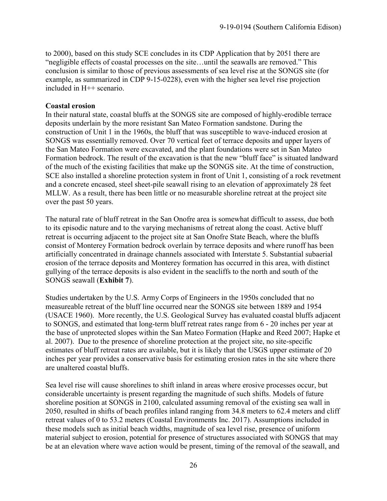to 2000), based on this study SCE concludes in its CDP Application that by 2051 there are "negligible effects of coastal processes on the site…until the seawalls are removed." This conclusion is similar to those of previous assessments of sea level rise at the SONGS site (for example, as summarized in CDP 9-15-0228), even with the higher sea level rise projection included in H++ scenario.

#### **Coastal erosion**

In their natural state, coastal bluffs at the SONGS site are composed of highly-erodible terrace deposits underlain by the more resistant San Mateo Formation sandstone. During the construction of Unit 1 in the 1960s, the bluff that was susceptible to wave-induced erosion at SONGS was essentially removed. Over 70 vertical feet of terrace deposits and upper layers of the San Mateo Formation were excavated, and the plant foundations were set in San Mateo Formation bedrock. The result of the excavation is that the new "bluff face" is situated landward of the much of the existing facilities that make up the SONGS site. At the time of construction, SCE also installed a shoreline protection system in front of Unit 1, consisting of a rock revetment and a concrete encased, steel sheet-pile seawall rising to an elevation of approximately 28 feet MLLW. As a result, there has been little or no measurable shoreline retreat at the project site over the past 50 years.

The natural rate of bluff retreat in the San Onofre area is somewhat difficult to assess, due both to its episodic nature and to the varying mechanisms of retreat along the coast. Active bluff retreat is occurring adjacent to the project site at San Onofre State Beach, where the bluffs consist of Monterey Formation bedrock overlain by terrace deposits and where runoff has been artificially concentrated in drainage channels associated with Interstate 5. Substantial subaerial erosion of the terrace deposits and Monterey formation has occurred in this area, with distinct gullying of the terrace deposits is also evident in the seacliffs to the north and south of the SONGS seawall (**Exhibit 7**).

Studies undertaken by the U.S. Army Corps of Engineers in the 1950s concluded that no measureable retreat of the bluff line occurred near the SONGS site between 1889 and 1954 (USACE 1960). More recently, the U.S. Geological Survey has evaluated coastal bluffs adjacent to SONGS, and estimated that long-term bluff retreat rates range from 6 - 20 inches per year at the base of unprotected slopes within the San Mateo Formation (Hapke and Reed 2007; Hapke et al. 2007). Due to the presence of shoreline protection at the project site, no site-specific estimates of bluff retreat rates are available, but it is likely that the USGS upper estimate of 20 inches per year provides a conservative basis for estimating erosion rates in the site where there are unaltered coastal bluffs.

Sea level rise will cause shorelines to shift inland in areas where erosive processes occur, but considerable uncertainty is present regarding the magnitude of such shifts. Models of future shoreline position at SONGS in 2100, calculated assuming removal of the existing sea wall in 2050, resulted in shifts of beach profiles inland ranging from 34.8 meters to 62.4 meters and cliff retreat values of 0 to 53.2 meters (Coastal Environments Inc. 2017). Assumptions included in these models such as initial beach widths, magnitude of sea level rise, presence of uniform material subject to erosion, potential for presence of structures associated with SONGS that may be at an elevation where wave action would be present, timing of the removal of the seawall, and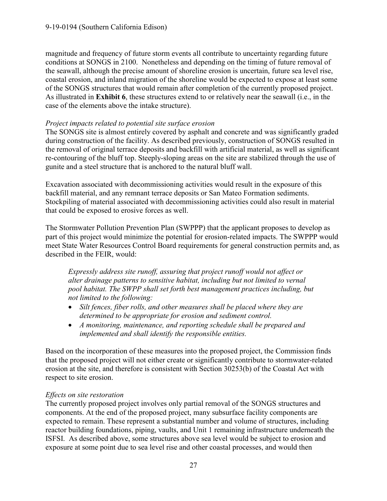#### 9-19-0194 (Southern California Edison)

magnitude and frequency of future storm events all contribute to uncertainty regarding future conditions at SONGS in 2100. Nonetheless and depending on the timing of future removal of the seawall, although the precise amount of shoreline erosion is uncertain, future sea level rise, coastal erosion, and inland migration of the shoreline would be expected to expose at least some of the SONGS structures that would remain after completion of the currently proposed project. As illustrated in **Exhibit 6**, these structures extend to or relatively near the seawall (i.e., in the case of the elements above the intake structure).

### *Project impacts related to potential site surface erosion*

The SONGS site is almost entirely covered by asphalt and concrete and was significantly graded during construction of the facility. As described previously, construction of SONGS resulted in the removal of original terrace deposits and backfill with artificial material, as well as significant re-contouring of the bluff top. Steeply-sloping areas on the site are stabilized through the use of gunite and a steel structure that is anchored to the natural bluff wall.

Excavation associated with decommissioning activities would result in the exposure of this backfill material, and any remnant terrace deposits or San Mateo Formation sediments. Stockpiling of material associated with decommissioning activities could also result in material that could be exposed to erosive forces as well.

The Stormwater Pollution Prevention Plan (SWPPP) that the applicant proposes to develop as part of this project would minimize the potential for erosion-related impacts. The SWPPP would meet State Water Resources Control Board requirements for general construction permits and, as described in the FEIR, would:

*Expressly address site runoff, assuring that project runoff would not affect or alter drainage patterns to sensitive habitat, including but not limited to vernal pool habitat. The SWPP shall set forth best management practices including, but not limited to the following:* 

- *Silt fences, fiber rolls, and other measures shall be placed where they are determined to be appropriate for erosion and sediment control.*
- *A monitoring, maintenance, and reporting schedule shall be prepared and implemented and shall identify the responsible entities.*

Based on the incorporation of these measures into the proposed project, the Commission finds that the proposed project will not either create or significantly contribute to stormwater-related erosion at the site, and therefore is consistent with Section 30253(b) of the Coastal Act with respect to site erosion.

#### *Effects on site restoration*

The currently proposed project involves only partial removal of the SONGS structures and components. At the end of the proposed project, many subsurface facility components are expected to remain. These represent a substantial number and volume of structures, including reactor building foundations, piping, vaults, and Unit 1 remaining infrastructure underneath the ISFSI. As described above, some structures above sea level would be subject to erosion and exposure at some point due to sea level rise and other coastal processes, and would then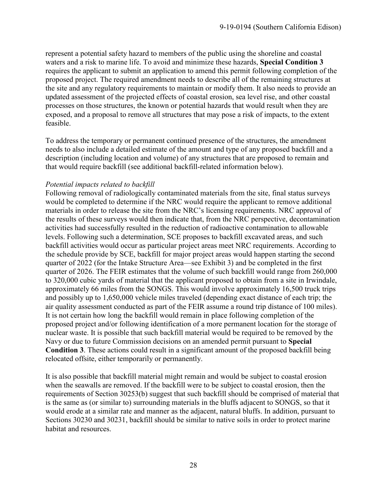represent a potential safety hazard to members of the public using the shoreline and coastal waters and a risk to marine life. To avoid and minimize these hazards, **Special Condition 3** requires the applicant to submit an application to amend this permit following completion of the proposed project. The required amendment needs to describe all of the remaining structures at the site and any regulatory requirements to maintain or modify them. It also needs to provide an updated assessment of the projected effects of coastal erosion, sea level rise, and other coastal processes on those structures, the known or potential hazards that would result when they are exposed, and a proposal to remove all structures that may pose a risk of impacts, to the extent feasible.

To address the temporary or permanent continued presence of the structures, the amendment needs to also include a detailed estimate of the amount and type of any proposed backfill and a description (including location and volume) of any structures that are proposed to remain and that would require backfill (see additional backfill-related information below).

#### *Potential impacts related to backfill*

Following removal of radiologically contaminated materials from the site, final status surveys would be completed to determine if the NRC would require the applicant to remove additional materials in order to release the site from the NRC's licensing requirements. NRC approval of the results of these surveys would then indicate that, from the NRC perspective, decontamination activities had successfully resulted in the reduction of radioactive contamination to allowable levels. Following such a determination, SCE proposes to backfill excavated areas, and such backfill activities would occur as particular project areas meet NRC requirements. According to the schedule provide by SCE, backfill for major project areas would happen starting the second quarter of 2022 (for the Intake Structure Area—see Exhibit 3) and be completed in the first quarter of 2026. The FEIR estimates that the volume of such backfill would range from 260,000 to 320,000 cubic yards of material that the applicant proposed to obtain from a site in Irwindale, approximately 66 miles from the SONGS. This would involve approximately 16,500 truck trips and possibly up to 1,650,000 vehicle miles traveled (depending exact distance of each trip; the air quality assessment conducted as part of the FEIR assume a round trip distance of 100 miles). It is not certain how long the backfill would remain in place following completion of the proposed project and/or following identification of a more permanent location for the storage of nuclear waste. It is possible that such backfill material would be required to be removed by the Navy or due to future Commission decisions on an amended permit pursuant to **Special Condition 3**. These actions could result in a significant amount of the proposed backfill being relocated offsite, either temporarily or permanently.

It is also possible that backfill material might remain and would be subject to coastal erosion when the seawalls are removed. If the backfill were to be subject to coastal erosion, then the requirements of Section 30253(b) suggest that such backfill should be comprised of material that is the same as (or similar to) surrounding materials in the bluffs adjacent to SONGS, so that it would erode at a similar rate and manner as the adjacent, natural bluffs. In addition, pursuant to Sections 30230 and 30231, backfill should be similar to native soils in order to protect marine habitat and resources.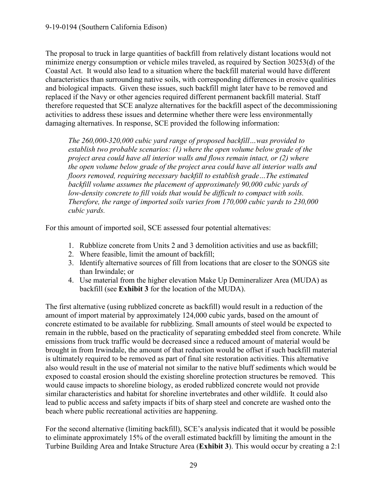The proposal to truck in large quantities of backfill from relatively distant locations would not minimize energy consumption or vehicle miles traveled, as required by Section 30253(d) of the Coastal Act. It would also lead to a situation where the backfill material would have different characteristics than surrounding native soils, with corresponding differences in erosive qualities and biological impacts. Given these issues, such backfill might later have to be removed and replaced if the Navy or other agencies required different permanent backfill material. Staff therefore requested that SCE analyze alternatives for the backfill aspect of the decommissioning activities to address these issues and determine whether there were less environmentally damaging alternatives. In response, SCE provided the following information:

*The 260,000-320,000 cubic yard range of proposed backfill…was provided to establish two probable scenarios: (1) where the open volume below grade of the project area could have all interior walls and flows remain intact, or (2) where the open volume below grade of the project area could have all interior walls and floors removed, requiring necessary backfill to establish grade…The estimated backfill volume assumes the placement of approximately 90,000 cubic yards of low-density concrete to fill voids that would be difficult to compact with soils. Therefore, the range of imported soils varies from 170,000 cubic yards to 230,000 cubic yards.* 

For this amount of imported soil, SCE assessed four potential alternatives:

- 1. Rubblize concrete from Units 2 and 3 demolition activities and use as backfill;
- 2. Where feasible, limit the amount of backfill;
- 3. Identify alternative sources of fill from locations that are closer to the SONGS site than Irwindale; or
- 4. Use material from the higher elevation Make Up Demineralizer Area (MUDA) as backfill (see **Exhibit 3** for the location of the MUDA).

The first alternative (using rubblized concrete as backfill) would result in a reduction of the amount of import material by approximately 124,000 cubic yards, based on the amount of concrete estimated to be available for rubblizing. Small amounts of steel would be expected to remain in the rubble, based on the practicality of separating embedded steel from concrete. While emissions from truck traffic would be decreased since a reduced amount of material would be brought in from Irwindale, the amount of that reduction would be offset if such backfill material is ultimately required to be removed as part of final site restoration activities. This alternative also would result in the use of material not similar to the native bluff sediments which would be exposed to coastal erosion should the existing shoreline protection structures be removed. This would cause impacts to shoreline biology, as eroded rubblized concrete would not provide similar characteristics and habitat for shoreline invertebrates and other wildlife. It could also lead to public access and safety impacts if bits of sharp steel and concrete are washed onto the beach where public recreational activities are happening.

For the second alternative (limiting backfill), SCE's analysis indicated that it would be possible to eliminate approximately 15% of the overall estimated backfill by limiting the amount in the Turbine Building Area and Intake Structure Area (**Exhibit 3**). This would occur by creating a 2:1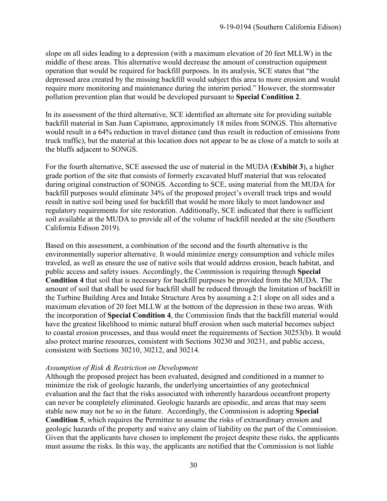slope on all sides leading to a depression (with a maximum elevation of 20 feet MLLW) in the middle of these areas. This alternative would decrease the amount of construction equipment operation that would be required for backfill purposes. In its analysis, SCE states that "the depressed area created by the missing backfill would subject this area to more erosion and would require more monitoring and maintenance during the interim period." However, the stormwater pollution prevention plan that would be developed pursuant to **Special Condition 2**.

In its assessment of the third alternative, SCE identified an alternate site for providing suitable backfill material in San Juan Capistrano, approximately 18 miles from SONGS. This alternative would result in a 64% reduction in travel distance (and thus result in reduction of emissions from truck traffic), but the material at this location does not appear to be as close of a match to soils at the bluffs adjacent to SONGS.

For the fourth alternative, SCE assessed the use of material in the MUDA (**Exhibit 3**), a higher grade portion of the site that consists of formerly excavated bluff material that was relocated during original construction of SONGS. According to SCE, using material from the MUDA for backfill purposes would eliminate 34% of the proposed project's overall truck trips and would result in native soil being used for backfill that would be more likely to meet landowner and regulatory requirements for site restoration. Additionally, SCE indicated that there is sufficient soil available at the MUDA to provide all of the volume of backfill needed at the site (Southern California Edison 2019).

Based on this assessment, a combination of the second and the fourth alternative is the environmentally superior alternative. It would minimize energy consumption and vehicle miles traveled, as well as ensure the use of native soils that would address erosion, beach habitat, and public access and safety issues. Accordingly, the Commission is requiring through **Special Condition 4** that soil that is necessary for backfill purposes be provided from the MUDA. The amount of soil that shall be used for backfill shall be reduced through the limitation of backfill in the Turbine Building Area and Intake Structure Area by assuming a 2:1 slope on all sides and a maximum elevation of 20 feet MLLW at the bottom of the depression in these two areas. With the incorporation of **Special Condition 4**, the Commission finds that the backfill material would have the greatest likelihood to mimic natural bluff erosion when such material becomes subject to coastal erosion processes, and thus would meet the requirements of Section 30253(b). It would also protect marine resources, consistent with Sections 30230 and 30231, and public access, consistent with Sections 30210, 30212, and 30214.

#### *Assumption of Risk & Restriction on Development*

Although the proposed project has been evaluated, designed and conditioned in a manner to minimize the risk of geologic hazards, the underlying uncertainties of any geotechnical evaluation and the fact that the risks associated with inherently hazardous oceanfront property can never be completely eliminated. Geologic hazards are episodic, and areas that may seem stable now may not be so in the future. Accordingly, the Commission is adopting **Special Condition 5**, which requires the Permittee to assume the risks of extraordinary erosion and geologic hazards of the property and waive any claim of liability on the part of the Commission. Given that the applicants have chosen to implement the project despite these risks, the applicants must assume the risks. In this way, the applicants are notified that the Commission is not liable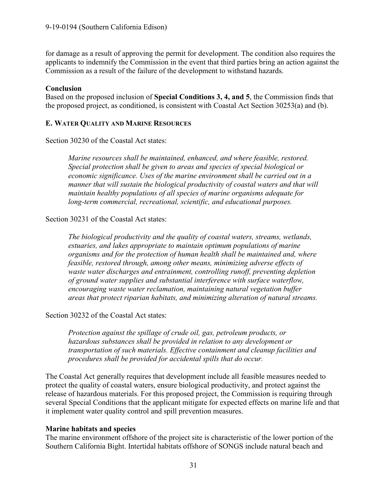for damage as a result of approving the permit for development. The condition also requires the applicants to indemnify the Commission in the event that third parties bring an action against the Commission as a result of the failure of the development to withstand hazards.

## **Conclusion**

Based on the proposed inclusion of **Special Conditions 3, 4, and 5**, the Commission finds that the proposed project, as conditioned, is consistent with Coastal Act Section 30253(a) and (b).

## <span id="page-30-0"></span>**E. WATER QUALITY AND MARINE RESOURCES**

Section 30230 of the Coastal Act states:

*Marine resources shall be maintained, enhanced, and where feasible, restored. Special protection shall be given to areas and species of special biological or economic significance. Uses of the marine environment shall be carried out in a manner that will sustain the biological productivity of coastal waters and that will maintain healthy populations of all species of marine organisms adequate for long-term commercial, recreational, scientific, and educational purposes.* 

## Section 30231 of the Coastal Act states:

*The biological productivity and the quality of coastal waters, streams, wetlands, estuaries, and lakes appropriate to maintain optimum populations of marine organisms and for the protection of human health shall be maintained and, where feasible, restored through, among other means, minimizing adverse effects of waste water discharges and entrainment, controlling runoff, preventing depletion of ground water supplies and substantial interference with surface waterflow, encouraging waste water reclamation, maintaining natural vegetation buffer areas that protect riparian habitats, and minimizing alteration of natural streams.* 

Section 30232 of the Coastal Act states:

*Protection against the spillage of crude oil, gas, petroleum products, or hazardous substances shall be provided in relation to any development or transportation of such materials. Effective containment and cleanup facilities and procedures shall be provided for accidental spills that do occur.* 

The Coastal Act generally requires that development include all feasible measures needed to protect the quality of coastal waters, ensure biological productivity, and protect against the release of hazardous materials. For this proposed project, the Commission is requiring through several Special Conditions that the applicant mitigate for expected effects on marine life and that it implement water quality control and spill prevention measures.

### **Marine habitats and species**

The marine environment offshore of the project site is characteristic of the lower portion of the Southern California Bight. Intertidal habitats offshore of SONGS include natural beach and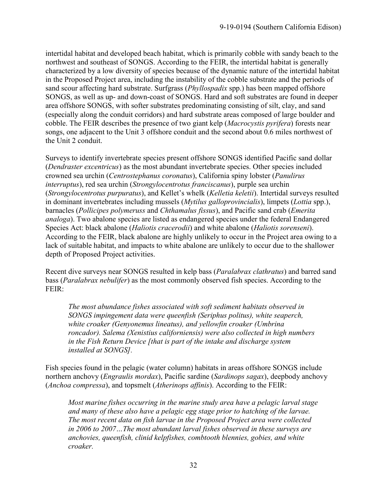intertidal habitat and developed beach habitat, which is primarily cobble with sandy beach to the northwest and southeast of SONGS. According to the FEIR, the intertidal habitat is generally characterized by a low diversity of species because of the dynamic nature of the intertidal habitat in the Proposed Project area, including the instability of the cobble substrate and the periods of sand scour affecting hard substrate. Surfgrass (*Phyllospadix* spp.) has been mapped offshore SONGS, as well as up- and down-coast of SONGS. Hard and soft substrates are found in deeper area offshore SONGS, with softer substrates predominating consisting of silt, clay, and sand (especially along the conduit corridors) and hard substrate areas composed of large boulder and cobble. The FEIR describes the presence of two giant kelp (*Macrocystis pyrifera*) forests near songs, one adjacent to the Unit 3 offshore conduit and the second about 0.6 miles northwest of the Unit 2 conduit.

Surveys to identify invertebrate species present offshore SONGS identified Pacific sand dollar (*Dendraster excentricus*) as the most abundant invertebrate species. Other species included crowned sea urchin (*Centrostephanus coronatus*), California spiny lobster (*Panulirus interruptus*), red sea urchin (*Strongylocentrotus franciscanus*), purple sea urchin (*Strongylocentrotus purpuratus*), and Kellet's whelk (*Kelletia keletii*). Intertidal surveys resulted in dominant invertebrates including mussels (*Mytilus galloprovincialis*), limpets (*Lottia* spp.), barnacles (*Pollicipes polymeruss* and *Chthamalus fissus*), and Pacific sand crab (*Emerita analoga*). Two abalone species are listed as endangered species under the federal Endangered Species Act: black abalone (*Haliotis cracerodii*) and white abalone (*Haliotis sorenseni*). According to the FEIR, black abalone are highly unlikely to occur in the Project area owing to a lack of suitable habitat, and impacts to white abalone are unlikely to occur due to the shallower depth of Proposed Project activities.

Recent dive surveys near SONGS resulted in kelp bass (*Paralabrax clathratus*) and barred sand bass (*Paralabrax nebulifer*) as the most commonly observed fish species. According to the FEIR:

*The most abundance fishes associated with soft sediment habitats observed in SONGS impingement data were queenfish (Seriphus politus), white seaperch, white croaker (Genyonemus lineatus), and yellowfin croaker (Umbrina roncador). Salema (Xenistius californiensis) were also collected in high numbers in the Fish Return Device [that is part of the intake and discharge system installed at SONGS].* 

Fish species found in the pelagic (water column) habitats in areas offshore SONGS include northern anchovy (*Engraulis mordax*), Pacific sardine (*Sardinops sagax*), deepbody anchovy (*Anchoa compressa*), and topsmelt (*Atherinops affinis*). According to the FEIR:

*Most marine fishes occurring in the marine study area have a pelagic larval stage and many of these also have a pelagic egg stage prior to hatching of the larvae. The most recent data on fish larvae in the Proposed Project area were collected in 2006 to 2007…The most abundant larval fishes observed in these surveys are anchovies, queenfish, clinid kelpfishes, combtooth blennies, gobies, and white croaker.*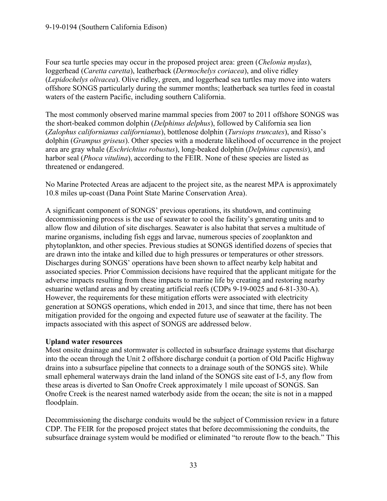Four sea turtle species may occur in the proposed project area: green (*Chelonia mydas*), loggerhead (*Caretta caretta*), leatherback (*Dermochelys coriacea*), and olive ridley (*Lepidochelys olivacea*). Olive ridley, green, and loggerhead sea turtles may move into waters offshore SONGS particularly during the summer months; leatherback sea turtles feed in coastal waters of the eastern Pacific, including southern California.

The most commonly observed marine mammal species from 2007 to 2011 offshore SONGS was the short-beaked common dolphin (*Delphinus delphus*), followed by California sea lion (*Zalophus californianus californianus*), bottlenose dolphin (*Tursiops truncates*), and Risso's dolphin (*Grampus griseus*). Other species with a moderate likelihood of occurrence in the project area are gray whale (*Eschrichtius robustus*), long-beaked dolphin (*Delphinus capensis*), and harbor seal (*Phoca vitulina*), according to the FEIR. None of these species are listed as threatened or endangered.

No Marine Protected Areas are adjacent to the project site, as the nearest MPA is approximately 10.8 miles up-coast (Dana Point State Marine Conservation Area).

A significant component of SONGS' previous operations, its shutdown, and continuing decommissioning process is the use of seawater to cool the facility's generating units and to allow flow and dilution of site discharges. Seawater is also habitat that serves a multitude of marine organisms, including fish eggs and larvae, numerous species of zooplankton and phytoplankton, and other species. Previous studies at SONGS identified dozens of species that are drawn into the intake and killed due to high pressures or temperatures or other stressors. Discharges during SONGS' operations have been shown to affect nearby kelp habitat and associated species. Prior Commission decisions have required that the applicant mitigate for the adverse impacts resulting from these impacts to marine life by creating and restoring nearby estuarine wetland areas and by creating artificial reefs (CDPs 9-19-0025 and 6-81-330-A). However, the requirements for these mitigation efforts were associated with electricity generation at SONGS operations, which ended in 2013, and since that time, there has not been mitigation provided for the ongoing and expected future use of seawater at the facility. The impacts associated with this aspect of SONGS are addressed below.

### **Upland water resources**

Most onsite drainage and stormwater is collected in subsurface drainage systems that discharge into the ocean through the Unit 2 offshore discharge conduit (a portion of Old Pacific Highway drains into a subsurface pipeline that connects to a drainage south of the SONGS site). While small ephemeral waterways drain the land inland of the SONGS site east of I-5, any flow from these areas is diverted to San Onofre Creek approximately 1 mile upcoast of SONGS. San Onofre Creek is the nearest named waterbody aside from the ocean; the site is not in a mapped floodplain.

Decommissioning the discharge conduits would be the subject of Commission review in a future CDP. The FEIR for the proposed project states that before decommissioning the conduits, the subsurface drainage system would be modified or eliminated "to reroute flow to the beach." This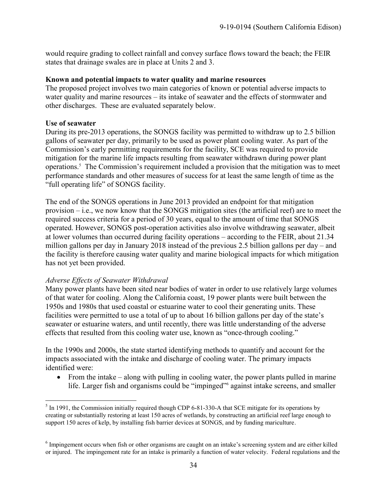would require grading to collect rainfall and convey surface flows toward the beach; the FEIR states that drainage swales are in place at Units 2 and 3.

#### **Known and potential impacts to water quality and marine resources**

The proposed project involves two main categories of known or potential adverse impacts to water quality and marine resources – its intake of seawater and the effects of stormwater and other discharges. These are evaluated separately below.

#### **Use of seawater**

During its pre-2013 operations, the SONGS facility was permitted to withdraw up to 2.5 billion gallons of seawater per day, primarily to be used as power plant cooling water. As part of the Commission's early permitting requirements for the facility, SCE was required to provide mitigation for the marine life impacts resulting from seawater withdrawn during power plant operations.<sup>5</sup> The Commission's requirement included a provision that the mitigation was to meet performance standards and other measures of success for at least the same length of time as the "full operating life" of SONGS facility.

The end of the SONGS operations in June 2013 provided an endpoint for that mitigation provision – i.e., we now know that the SONGS mitigation sites (the artificial reef) are to meet the required success criteria for a period of 30 years, equal to the amount of time that SONGS operated. However, SONGS post-operation activities also involve withdrawing seawater, albeit at lower volumes than occurred during facility operations – according to the FEIR, about 21.34 million gallons per day in January 2018 instead of the previous 2.5 billion gallons per day – and the facility is therefore causing water quality and marine biological impacts for which mitigation has not yet been provided.

### *Adverse Effects of Seawater Withdrawal*

Many power plants have been sited near bodies of water in order to use relatively large volumes of that water for cooling. Along the California coast, 19 power plants were built between the 1950s and 1980s that used coastal or estuarine water to cool their generating units. These facilities were permitted to use a total of up to about 16 billion gallons per day of the state's seawater or estuarine waters, and until recently, there was little understanding of the adverse effects that resulted from this cooling water use, known as "once-through cooling."

In the 1990s and 2000s, the state started identifying methods to quantify and account for the impacts associated with the intake and discharge of cooling water. The primary impacts identified were:

From the intake – along with pulling in cooling water, the power plants pulled in marine life. Larger fish and organisms could be "impinged"<sup>6</sup> against intake screens, and smaller

<sup>&</sup>lt;sup>5</sup> In 1991, the Commission initially required though CDP 6-81-330-A that SCE mitigate for its operations by creating or substantially restoring at least 150 acres of wetlands, by constructing an artificial reef large enough to support 150 acres of kelp, by installing fish barrier devices at SONGS, and by funding mariculture.

<sup>&</sup>lt;sup>6</sup> Impingement occurs when fish or other organisms are caught on an intake's screening system and are either killed or injured. The impingement rate for an intake is primarily a function of water velocity. Federal regulations and the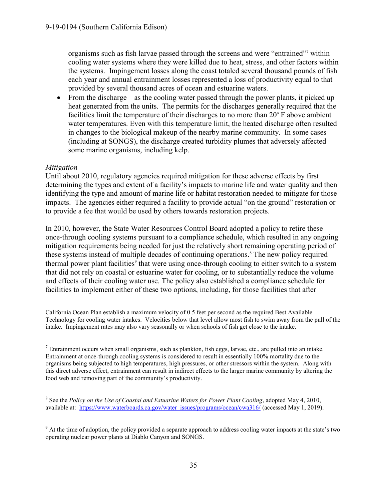organisms such as fish larvae passed through the screens and were "entrained"<sup>7</sup> within cooling water systems where they were killed due to heat, stress, and other factors within the systems. Impingement losses along the coast totaled several thousand pounds of fish each year and annual entrainment losses represented a loss of productivity equal to that provided by several thousand acres of ocean and estuarine waters.

From the discharge – as the cooling water passed through the power plants, it picked up heat generated from the units. The permits for the discharges generally required that the facilities limit the temperature of their discharges to no more than  $20^{\circ}$  F above ambient water temperatures. Even with this temperature limit, the heated discharge often resulted in changes to the biological makeup of the nearby marine community. In some cases (including at SONGS), the discharge created turbidity plumes that adversely affected some marine organisms, including kelp.

#### *Mitigation*

Until about 2010, regulatory agencies required mitigation for these adverse effects by first determining the types and extent of a facility's impacts to marine life and water quality and then identifying the type and amount of marine life or habitat restoration needed to mitigate for those impacts. The agencies either required a facility to provide actual "on the ground" restoration or to provide a fee that would be used by others towards restoration projects.

In 2010, however, the State Water Resources Control Board adopted a policy to retire these once-through cooling systems pursuant to a compliance schedule, which resulted in any ongoing mitigation requirements being needed for just the relatively short remaining operating period of these systems instead of multiple decades of continuing operations.<sup>8</sup> The new policy required thermal power plant facilities<sup>9</sup> that were using once-through cooling to either switch to a system that did not rely on coastal or estuarine water for cooling, or to substantially reduce the volume and effects of their cooling water use. The policy also established a compliance schedule for facilities to implement either of these two options, including, for those facilities that after

 $\overline{a}$ California Ocean Plan establish a maximum velocity of 0.5 feet per second as the required Best Available Technology for cooling water intakes. Velocities below that level allow most fish to swim away from the pull of the intake. Impingement rates may also vary seasonally or when schools of fish get close to the intake.

 $<sup>7</sup>$  Entrainment occurs when small organisms, such as plankton, fish eggs, larvae, etc., are pulled into an intake.</sup> Entrainment at once-through cooling systems is considered to result in essentially 100% mortality due to the organisms being subjected to high temperatures, high pressures, or other stressors within the system. Along with this direct adverse effect, entrainment can result in indirect effects to the larger marine community by altering the food web and removing part of the community's productivity.

8 See the *Policy on the Use of Coastal and Estuarine Waters for Power Plant Cooling*, adopted May 4, 2010, available at: [https://www.waterboards.ca.gov/water\\_issues/programs/ocean/cwa316/](https://www.waterboards.ca.gov/water_issues/programs/ocean/cwa316/) (accessed May 1, 2019).

<sup>9</sup> At the time of adoption, the policy provided a separate approach to address cooling water impacts at the state's two operating nuclear power plants at Diablo Canyon and SONGS.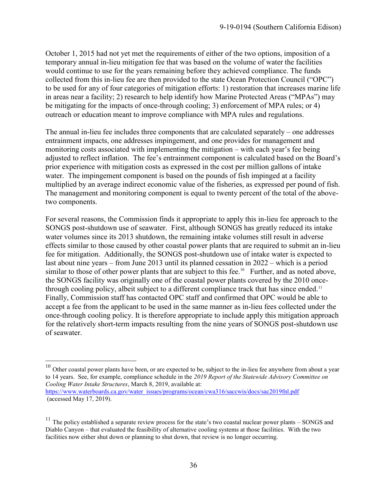October 1, 2015 had not yet met the requirements of either of the two options, imposition of a temporary annual in-lieu mitigation fee that was based on the volume of water the facilities would continue to use for the years remaining before they achieved compliance. The funds collected from this in-lieu fee are then provided to the state Ocean Protection Council ("OPC") to be used for any of four categories of mitigation efforts: 1) restoration that increases marine life in areas near a facility; 2) research to help identify how Marine Protected Areas ("MPAs") may be mitigating for the impacts of once-through cooling; 3) enforcement of MPA rules; or 4) outreach or education meant to improve compliance with MPA rules and regulations.

The annual in-lieu fee includes three components that are calculated separately – one addresses entrainment impacts, one addresses impingement, and one provides for management and monitoring costs associated with implementing the mitigation – with each year's fee being adjusted to reflect inflation. The fee's entrainment component is calculated based on the Board's prior experience with mitigation costs as expressed in the cost per million gallons of intake water. The impingement component is based on the pounds of fish impinged at a facility multiplied by an average indirect economic value of the fisheries, as expressed per pound of fish. The management and monitoring component is equal to twenty percent of the total of the abovetwo components.

For several reasons, the Commission finds it appropriate to apply this in-lieu fee approach to the SONGS post-shutdown use of seawater. First, although SONGS has greatly reduced its intake water volumes since its 2013 shutdown, the remaining intake volumes still result in adverse effects similar to those caused by other coastal power plants that are required to submit an in-lieu fee for mitigation. Additionally, the SONGS post-shutdown use of intake water is expected to last about nine years – from June 2013 until its planned cessation in 2022 – which is a period similar to those of other power plants that are subject to this fee.<sup>10</sup> Further, and as noted above, the SONGS facility was originally one of the coastal power plants covered by the 2010 oncethrough cooling policy, albeit subject to a different compliance track that has since ended.<sup>11</sup> Finally, Commission staff has contacted OPC staff and confirmed that OPC would be able to accept a fee from the applicant to be used in the same manner as in-lieu fees collected under the once-through cooling policy. It is therefore appropriate to include apply this mitigation approach for the relatively short-term impacts resulting from the nine years of SONGS post-shutdown use of seawater.

 $\overline{a}$ 

 $10$  Other coastal power plants have been, or are expected to be, subject to the in-lieu fee anywhere from about a year to 14 years. See, for example, compliance schedule in the *2019 Report of the Statewide Advisory Committee on Cooling Water Intake Structures*, March 8, 2019, available at:

[https://www.waterboards.ca.gov/water\\_issues/programs/ocean/cwa316/saccwis/docs/sac2019fnl.pdf](https://www.waterboards.ca.gov/water_issues/programs/ocean/cwa316/saccwis/docs/sac2019fnl.pdf) (accessed May 17, 2019).

 $11$  The policy established a separate review process for the state's two coastal nuclear power plants – SONGS and Diablo Canyon – that evaluated the feasibility of alternative cooling systems at those facilities. With the two facilities now either shut down or planning to shut down, that review is no longer occurring.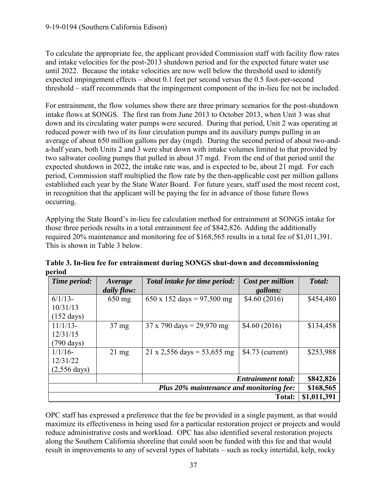To calculate the appropriate fee, the applicant provided Commission staff with facility flow rates and intake velocities for the post-2013 shutdown period and for the expected future water use until 2022. Because the intake velocities are now well below the threshold used to identify expected impingement effects – about 0.1 feet per second versus the 0.5 foot-per-second threshold – staff recommends that the impingement component of the in-lieu fee not be included.

For entrainment, the flow volumes show there are three primary scenarios for the post-shutdown intake flows at SONGS. The first ran from June 2013 to October 2013, when Unit 3 was shut down and its circulating water pumps were secured. During that period, Unit 2 was operating at reduced power with two of its four circulation pumps and its auxiliary pumps pulling in an average of about 650 million gallons per day (mgd). During the second period of about two-anda-half years, both Units 2 and 3 were shut down with intake volumes limited to that provided by two saltwater cooling pumps that pulled in about 37 mgd. From the end of that period until the expected shutdown in 2022, the intake rate was, and is expected to be, about 21 mgd. For each period, Commission staff multiplied the flow rate by the then-applicable cost per million gallons established each year by the State Water Board. For future years, staff used the most recent cost, in recognition that the applicant will be paying the fee in advance of those future flows occurring.

Applying the State Board's in-lieu fee calculation method for entrainment at SONGS intake for those three periods results in a total entrainment fee of \$842,826. Adding the additionally required 20% maintenance and monitoring fee of \$168,565 results in a total fee of \$1,011,391. This is shown in Table 3 below.

| Time period:                                      | Average<br>daily flow: | Total intake for time period:     | Cost per million<br>gallons: | Total:    |
|---------------------------------------------------|------------------------|-----------------------------------|------------------------------|-----------|
| $6/1/13$ -<br>10/31/13<br>$(152 \text{ days})$    | 650 mg                 | $650 \times 152$ days = 97,500 mg | \$4.60(2016)                 | \$454,480 |
| $11/1/13$ -<br>12/31/15<br>$(790 \text{ days})$   | $37 \text{ mg}$        | $37 \times 790$ days = 29,970 mg  | \$4.60(2016)                 | \$134,458 |
| $1/1/16$ -<br>12/31/22<br>$(2, 556 \text{ days})$ | $21 \text{ mg}$        | 21 x 2,556 days = 53,655 mg       | \$4.73 (current)             | \$253,988 |
| <b>Entrainment total:</b>                         |                        |                                   | \$842,826                    |           |
| Plus 20% maintenance and monitoring fee:          |                        |                                   |                              | \$168,565 |
| Total:                                            |                        |                                   |                              |           |

**Table 3. In-lieu fee for entrainment during SONGS shut-down and decommissioning period** 

OPC staff has expressed a preference that the fee be provided in a single payment, as that would maximize its effectiveness in being used for a particular restoration project or projects and would reduce administrative costs and workload. OPC has also identified several restoration projects along the Southern California shoreline that could soon be funded with this fee and that would result in improvements to any of several types of habitats – such as rocky intertidal, kelp, rocky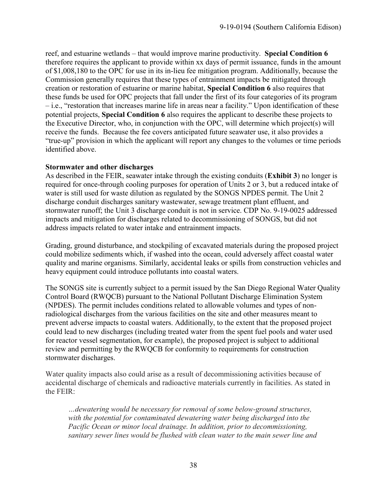reef, and estuarine wetlands – that would improve marine productivity. **Special Condition 6** therefore requires the applicant to provide within xx days of permit issuance, funds in the amount of \$1,008,180 to the OPC for use in its in-lieu fee mitigation program. Additionally, because the Commission generally requires that these types of entrainment impacts be mitigated through creation or restoration of estuarine or marine habitat, **Special Condition 6** also requires that these funds be used for OPC projects that fall under the first of its four categories of its program – i.e., "restoration that increases marine life in areas near a facility." Upon identification of these potential projects, **Special Condition 6** also requires the applicant to describe these projects to the Executive Director, who, in conjunction with the OPC, will determine which project(s) will receive the funds. Because the fee covers anticipated future seawater use, it also provides a "true-up" provision in which the applicant will report any changes to the volumes or time periods identified above.

#### **Stormwater and other discharges**

As described in the FEIR, seawater intake through the existing conduits (**Exhibit 3**) no longer is required for once-through cooling purposes for operation of Units 2 or 3, but a reduced intake of water is still used for waste dilution as regulated by the SONGS NPDES permit. The Unit 2 discharge conduit discharges sanitary wastewater, sewage treatment plant effluent, and stormwater runoff; the Unit 3 discharge conduit is not in service. CDP No. 9-19-0025 addressed impacts and mitigation for discharges related to decommissioning of SONGS, but did not address impacts related to water intake and entrainment impacts.

Grading, ground disturbance, and stockpiling of excavated materials during the proposed project could mobilize sediments which, if washed into the ocean, could adversely affect coastal water quality and marine organisms. Similarly, accidental leaks or spills from construction vehicles and heavy equipment could introduce pollutants into coastal waters.

The SONGS site is currently subject to a permit issued by the San Diego Regional Water Quality Control Board (RWQCB) pursuant to the National Pollutant Discharge Elimination System (NPDES). The permit includes conditions related to allowable volumes and types of nonradiological discharges from the various facilities on the site and other measures meant to prevent adverse impacts to coastal waters. Additionally, to the extent that the proposed project could lead to new discharges (including treated water from the spent fuel pools and water used for reactor vessel segmentation, for example), the proposed project is subject to additional review and permitting by the RWQCB for conformity to requirements for construction stormwater discharges.

Water quality impacts also could arise as a result of decommissioning activities because of accidental discharge of chemicals and radioactive materials currently in facilities. As stated in the FEIR:

*…dewatering would be necessary for removal of some below-ground structures, with the potential for contaminated dewatering water being discharged into the Pacific Ocean or minor local drainage. In addition, prior to decommissioning, sanitary sewer lines would be flushed with clean water to the main sewer line and*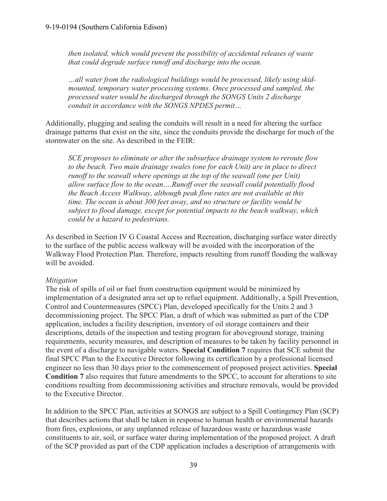*then isolated, which would prevent the possibility of accidental releases of waste that could degrade surface runoff and discharge into the ocean.* 

*…all water from the radiological buildings would be processed, likely using skidmounted, temporary water processing systems. Once processed and sampled, the processed water would be discharged through the SONGS Units 2 discharge conduit in accordance with the SONGS NPDES permit…* 

Additionally, plugging and sealing the conduits will result in a need for altering the surface drainage patterns that exist on the site, since the conduits provide the discharge for much of the stormwater on the site. As described in the FEIR:

*SCE proposes to eliminate or alter the subsurface drainage system to reroute flow to the beach. Two main drainage swales (one for each Unit) are in place to direct runoff to the seawall where openings at the top of the seawall (one per Unit) allow surface flow to the ocean….Runoff over the seawall could potentially flood the Beach Access Walkway, although peak flow rates are not available at this time. The ocean is about 300 feet away, and no structure or facility would be subject to flood damage, except for potential impacts to the beach walkway, which could be a hazard to pedestrians.* 

As described in Section IV G Coastal Access and Recreation, discharging surface water directly to the surface of the public access walkway will be avoided with the incorporation of the Walkway Flood Protection Plan. Therefore, impacts resulting from runoff flooding the walkway will be avoided.

#### *Mitigation*

The risk of spills of oil or fuel from construction equipment would be minimized by implementation of a designated area set up to refuel equipment. Additionally, a Spill Prevention, Control and Countermeasures (SPCC) Plan, developed specifically for the Units 2 and 3 decommissioning project. The SPCC Plan, a draft of which was submitted as part of the CDP application, includes a facility description, inventory of oil storage containers and their descriptions, details of the inspection and testing program for aboveground storage, training requirements, security measures, and description of measures to be taken by facility personnel in the event of a discharge to navigable waters. **Special Condition 7** requires that SCE submit the final SPCC Plan to the Executive Director following its certification by a professional licensed engineer no less than 30 days prior to the commencement of proposed project activities. **Special Condition 7** also requires that future amendments to the SPCC, to account for alterations to site conditions resulting from decommissioning activities and structure removals, would be provided to the Executive Director.

In addition to the SPCC Plan, activities at SONGS are subject to a Spill Contingency Plan (SCP) that describes actions that shall be taken in response to human health or environmental hazards from fires, explosions, or any unplanned release of hazardous waste or hazardous waste constituents to air, soil, or surface water during implementation of the proposed project. A draft of the SCP provided as part of the CDP application includes a description of arrangements with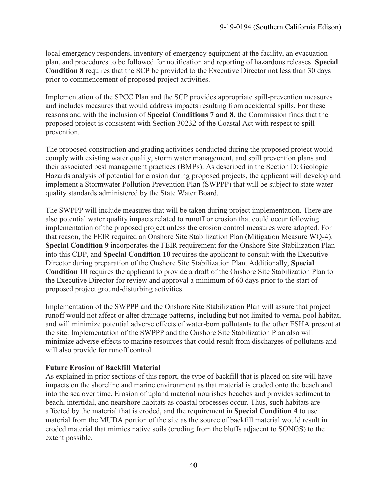local emergency responders, inventory of emergency equipment at the facility, an evacuation plan, and procedures to be followed for notification and reporting of hazardous releases. **Special Condition 8** requires that the SCP be provided to the Executive Director not less than 30 days prior to commencement of proposed project activities.

Implementation of the SPCC Plan and the SCP provides appropriate spill-prevention measures and includes measures that would address impacts resulting from accidental spills. For these reasons and with the inclusion of **Special Conditions 7 and 8**, the Commission finds that the proposed project is consistent with Section 30232 of the Coastal Act with respect to spill prevention.

The proposed construction and grading activities conducted during the proposed project would comply with existing water quality, storm water management, and spill prevention plans and their associated best management practices (BMPs). As described in the Section D: Geologic Hazards analysis of potential for erosion during proposed projects, the applicant will develop and implement a Stormwater Pollution Prevention Plan (SWPPP) that will be subject to state water quality standards administered by the State Water Board.

The SWPPP will include measures that will be taken during project implementation. There are also potential water quality impacts related to runoff or erosion that could occur following implementation of the proposed project unless the erosion control measures were adopted. For that reason, the FEIR required an Onshore Site Stabilization Plan (Mitigation Measure WQ-4). **Special Condition 9** incorporates the FEIR requirement for the Onshore Site Stabilization Plan into this CDP, and **Special Condition 10** requires the applicant to consult with the Executive Director during preparation of the Onshore Site Stabilization Plan. Additionally, **Special Condition 10** requires the applicant to provide a draft of the Onshore Site Stabilization Plan to the Executive Director for review and approval a minimum of 60 days prior to the start of proposed project ground-disturbing activities.

Implementation of the SWPPP and the Onshore Site Stabilization Plan will assure that project runoff would not affect or alter drainage patterns, including but not limited to vernal pool habitat, and will minimize potential adverse effects of water-born pollutants to the other ESHA present at the site. Implementation of the SWPPP and the Onshore Site Stabilization Plan also will minimize adverse effects to marine resources that could result from discharges of pollutants and will also provide for runoff control.

### **Future Erosion of Backfill Material**

As explained in prior sections of this report, the type of backfill that is placed on site will have impacts on the shoreline and marine environment as that material is eroded onto the beach and into the sea over time. Erosion of upland material nourishes beaches and provides sediment to beach, intertidal, and nearshore habitats as coastal processes occur. Thus, such habitats are affected by the material that is eroded, and the requirement in **Special Condition 4** to use material from the MUDA portion of the site as the source of backfill material would result in eroded material that mimics native soils (eroding from the bluffs adjacent to SONGS) to the extent possible.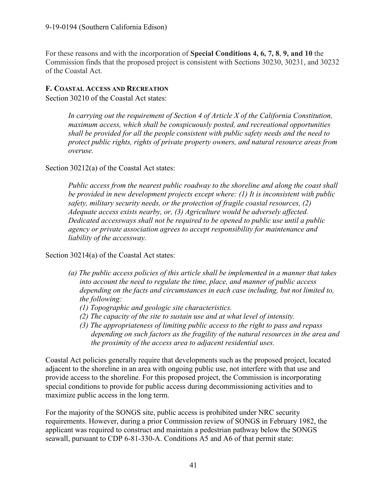For these reasons and with the incorporation of **Special Conditions 4, 6, 7, 8**, **9, and 10** the Commission finds that the proposed project is consistent with Sections 30230, 30231, and 30232 of the Coastal Act.

## <span id="page-40-0"></span>**F. COASTAL ACCESS AND RECREATION**

Section 30210 of the Coastal Act states:

*In carrying out the requirement of Section 4 of Article X of the California Constitution, maximum access, which shall be conspicuously posted, and recreational opportunities shall be provided for all the people consistent with public safety needs and the need to protect public rights, rights of private property owners, and natural resource areas from overuse.* 

## Section 30212(a) of the Coastal Act states:

*Public access from the nearest public roadway to the shoreline and along the coast shall be provided in new development projects except where: (1) It is inconsistent with public safety, military security needs, or the protection of fragile coastal resources, (2) Adequate access exists nearby, or, (3) Agriculture would be adversely affected. Dedicated accessways shall not be required to be opened to public use until a public agency or private association agrees to accept responsibility for maintenance and liability of the accessway.* 

Section 30214(a) of the Coastal Act states:

- *(a) The public access policies of this article shall be implemented in a manner that takes into account the need to regulate the time, place, and manner of public access depending on the facts and circumstances in each case including, but not limited to, the following:* 
	- *(1) Topographic and geologic site characteristics.*
	- *(2) The capacity of the site to sustain use and at what level of intensity.*
	- *(3) The appropriateness of limiting public access to the right to pass and repass depending on such factors as the fragility of the natural resources in the area and the proximity of the access area to adjacent residential uses.*

Coastal Act policies generally require that developments such as the proposed project, located adjacent to the shoreline in an area with ongoing public use, not interfere with that use and provide access to the shoreline. For this proposed project, the Commission is incorporating special conditions to provide for public access during decommissioning activities and to maximize public access in the long term.

For the majority of the SONGS site, public access is prohibited under NRC security requirements. However, during a prior Commission review of SONGS in February 1982, the applicant was required to construct and maintain a pedestrian pathway below the SONGS seawall, pursuant to CDP 6-81-330-A. Conditions A5 and A6 of that permit state: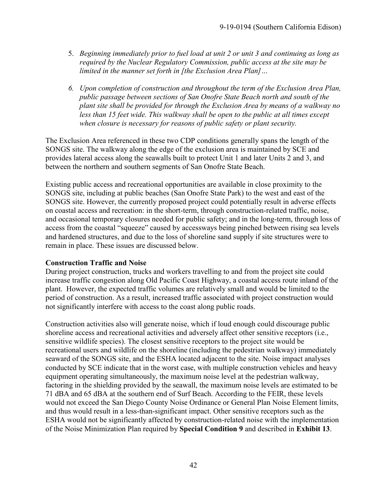- 5. *Beginning immediately prior to fuel load at unit 2 or unit 3 and continuing as long as required by the Nuclear Regulatory Commission, public access at the site may be limited in the manner set forth in [the Exclusion Area Plan]…*
- *6. Upon completion of construction and throughout the term of the Exclusion Area Plan, public passage between sections of San Onofre State Beach north and south of the plant site shall be provided for through the Exclusion Area by means of a walkway no less than 15 feet wide. This walkway shall be open to the public at all times except when closure is necessary for reasons of public safety or plant security.*

The Exclusion Area referenced in these two CDP conditions generally spans the length of the SONGS site. The walkway along the edge of the exclusion area is maintained by SCE and provides lateral access along the seawalls built to protect Unit 1 and later Units 2 and 3, and between the northern and southern segments of San Onofre State Beach.

Existing public access and recreational opportunities are available in close proximity to the SONGS site, including at public beaches (San Onofre State Park) to the west and east of the SONGS site. However, the currently proposed project could potentially result in adverse effects on coastal access and recreation: in the short-term, through construction-related traffic, noise, and occasional temporary closures needed for public safety; and in the long-term, through loss of access from the coastal "squeeze" caused by accessways being pinched between rising sea levels and hardened structures, and due to the loss of shoreline sand supply if site structures were to remain in place. These issues are discussed below.

#### **Construction Traffic and Noise**

During project construction, trucks and workers travelling to and from the project site could increase traffic congestion along Old Pacific Coast Highway, a coastal access route inland of the plant. However, the expected traffic volumes are relatively small and would be limited to the period of construction. As a result, increased traffic associated with project construction would not significantly interfere with access to the coast along public roads.

Construction activities also will generate noise, which if loud enough could discourage public shoreline access and recreational activities and adversely affect other sensitive receptors (i.e., sensitive wildlife species). The closest sensitive receptors to the project site would be recreational users and wildlife on the shoreline (including the pedestrian walkway) immediately seaward of the SONGS site, and the ESHA located adjacent to the site. Noise impact analyses conducted by SCE indicate that in the worst case, with multiple construction vehicles and heavy equipment operating simultaneously, the maximum noise level at the pedestrian walkway, factoring in the shielding provided by the seawall, the maximum noise levels are estimated to be 71 dBA and 65 dBA at the southern end of Surf Beach. According to the FEIR, these levels would not exceed the San Diego County Noise Ordinance or General Plan Noise Element limits, and thus would result in a less-than-significant impact. Other sensitive receptors such as the ESHA would not be significantly affected by construction-related noise with the implementation of the Noise Minimization Plan required by **Special Condition 9** and described in **Exhibit 13**.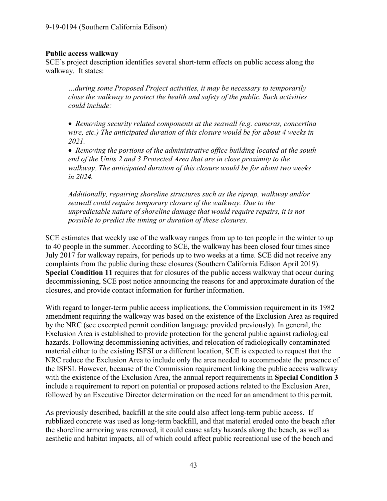#### **Public access walkway**

SCE's project description identifies several short-term effects on public access along the walkway. It states:

*…during some Proposed Project activities, it may be necessary to temporarily close the walkway to protect the health and safety of the public. Such activities could include:* 

 *Removing security related components at the seawall (e.g. cameras, concertina wire, etc.) The anticipated duration of this closure would be for about 4 weeks in 2021.* 

 *Removing the portions of the administrative office building located at the south end of the Units 2 and 3 Protected Area that are in close proximity to the walkway. The anticipated duration of this closure would be for about two weeks in 2024.* 

*Additionally, repairing shoreline structures such as the riprap, walkway and/or seawall could require temporary closure of the walkway. Due to the unpredictable nature of shoreline damage that would require repairs, it is not possible to predict the timing or duration of these closures.* 

SCE estimates that weekly use of the walkway ranges from up to ten people in the winter to up to 40 people in the summer. According to SCE, the walkway has been closed four times since July 2017 for walkway repairs, for periods up to two weeks at a time. SCE did not receive any complaints from the public during these closures (Southern California Edison April 2019). **Special Condition 11** requires that for closures of the public access walkway that occur during decommissioning, SCE post notice announcing the reasons for and approximate duration of the closures, and provide contact information for further information.

With regard to longer-term public access implications, the Commission requirement in its 1982 amendment requiring the walkway was based on the existence of the Exclusion Area as required by the NRC (see excerpted permit condition language provided previously). In general, the Exclusion Area is established to provide protection for the general public against radiological hazards. Following decommissioning activities, and relocation of radiologically contaminated material either to the existing ISFSI or a different location, SCE is expected to request that the NRC reduce the Exclusion Area to include only the area needed to accommodate the presence of the ISFSI. However, because of the Commission requirement linking the public access walkway with the existence of the Exclusion Area, the annual report requirements in **Special Condition 3** include a requirement to report on potential or proposed actions related to the Exclusion Area, followed by an Executive Director determination on the need for an amendment to this permit.

As previously described, backfill at the site could also affect long-term public access. If rubblized concrete was used as long-term backfill, and that material eroded onto the beach after the shoreline armoring was removed, it could cause safety hazards along the beach, as well as aesthetic and habitat impacts, all of which could affect public recreational use of the beach and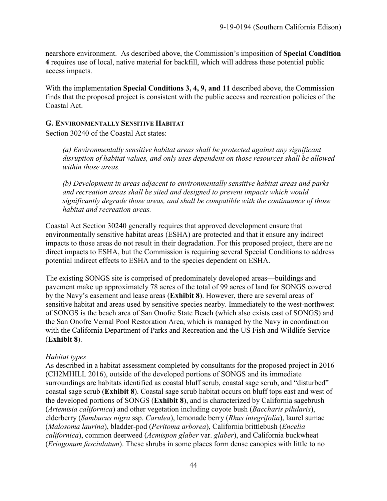nearshore environment. As described above, the Commission's imposition of **Special Condition 4** requires use of local, native material for backfill, which will address these potential public access impacts.

With the implementation **Special Conditions 3, 4, 9, and 11** described above, the Commission finds that the proposed project is consistent with the public access and recreation policies of the Coastal Act.

#### <span id="page-43-0"></span>**G. ENVIRONMENTALLY SENSITIVE HABITAT**

Section 30240 of the Coastal Act states:

*(a) Environmentally sensitive habitat areas shall be protected against any significant disruption of habitat values, and only uses dependent on those resources shall be allowed within those areas.* 

*(b) Development in areas adjacent to environmentally sensitive habitat areas and parks and recreation areas shall be sited and designed to prevent impacts which would significantly degrade those areas, and shall be compatible with the continuance of those habitat and recreation areas.* 

Coastal Act Section 30240 generally requires that approved development ensure that environmentally sensitive habitat areas (ESHA) are protected and that it ensure any indirect impacts to those areas do not result in their degradation. For this proposed project, there are no direct impacts to ESHA, but the Commission is requiring several Special Conditions to address potential indirect effects to ESHA and to the species dependent on ESHA.

The existing SONGS site is comprised of predominately developed areas—buildings and pavement make up approximately 78 acres of the total of 99 acres of land for SONGS covered by the Navy's easement and lease areas (**Exhibit 8**). However, there are several areas of sensitive habitat and areas used by sensitive species nearby. Immediately to the west-northwest of SONGS is the beach area of San Onofre State Beach (which also exists east of SONGS) and the San Onofre Vernal Pool Restoration Area, which is managed by the Navy in coordination with the California Department of Parks and Recreation and the US Fish and Wildlife Service (**Exhibit 8**).

### *Habitat types*

As described in a habitat assessment completed by consultants for the proposed project in 2016 (CH2MHILL 2016), outside of the developed portions of SONGS and its immediate surroundings are habitats identified as coastal bluff scrub, coastal sage scrub, and "disturbed" coastal sage scrub (**Exhibit 8**). Coastal sage scrub habitat occurs on bluff tops east and west of the developed portions of SONGS (**Exhibit 8**), and is characterized by California sagebrush (*Artemisia californica*) and other vegetation including coyote bush (*Baccharis pilularis*), elderberry (*Sambucus nigra* ssp. *Carulea*), lemonade berry (*Rhus integrifolia*), laurel sumac (*Malosoma laurina*), bladder-pod (*Peritoma arborea*), California brittlebush (*Encelia californica*), common deerweed (*Acmispon glaber* var. *glaber*), and California buckwheat (*Eriogonum fasciulatum*). These shrubs in some places form dense canopies with little to no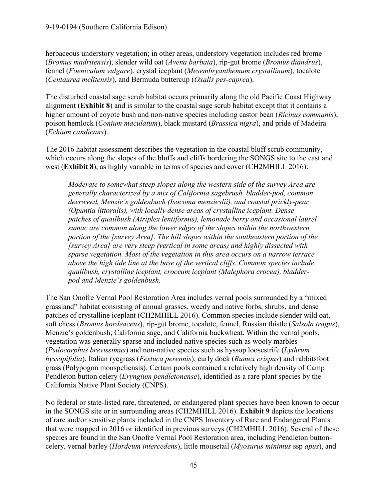herbaceous understory vegetation; in other areas, understory vegetation includes red brome (*Bromus madritensis*), slender wild oat (*Avena barbata*), rip-gut brome (*Bromus diandrus*), fennel (*Foeniculum vulgare*), crystal iceplant (*Mesembryanthemum crystallinum*), tocalote (*Centaurea melitensis*), and Bermuda buttercup (*Oxalis pes-caprea*).

The disturbed coastal sage scrub habitat occurs primarily along the old Pacific Coast Highway alignment (**Exhibit 8**) and is similar to the coastal sage scrub habitat except that it contains a higher amount of coyote bush and non-native species including castor bean (*Ricinus communis*), poison hemlock (*Conium maculatum*), black mustard (*Brassica nigra*), and pride of Madeira (*Echium candicans*).

The 2016 habitat assessment describes the vegetation in the coastal bluff scrub community, which occurs along the slopes of the bluffs and cliffs bordering the SONGS site to the east and west (**Exhibit 8**), as highly variable in terms of species and cover (CH2MHILL 2016):

*Moderate to somewhat steep slopes along the western side of the survey Area are generally characterized by a mix of California sagebrush, bladder-pod, common deerweed, Menzie's goldenbuch (Isocoma menzieslii), and coastal prickly-pear (Opuntia littoralis), with locally dense areas of crystalline iceplant. Dense patches of quailbush (Atriplex lentiformis), lemonade berry and occasional laurel sumac are common along the lower edges of the slopes within the northwestern portion of the [survey Area]. The hill slopes within the southeastern portion of the [survey Area] are very steep (vertical in some areas) and highly dissected with sparse vegetation. Most of the vegetation in this area occurs on a narrow terrace above the high tide line at the base of the vertical cliffs. Common species include quailbush, crystalline iceplant, croceum iceplant (Malephora crocea), bladderpod and Menzie's goldenbush.* 

The San Onofre Vernal Pool Restoration Area includes vernal pools surrounded by a "mixed grassland" habitat consisting of annual grasses, weedy and native forbs, shrubs, and dense patches of crystalline iceplant (CH2MHILL 2016). Common species include slender wild oat, soft chess (*Bromus hordeaceus*), rip-gut brome, tocalote, fennel, Russian thistle (*Salsola tragus*), Menzie's goldenbush, California sage, and California buckwheat. Within the vernal pools, vegetation was generally sparse and included native species such as wooly marbles (*Psilocarphus brevissimus*) and non-native species such as hyssop loosestrife (*Lythrum hyssopifolia*), Italian ryegrass (*Festuca perennis*), curly dock (*Rumex crispus*) and rabbitsfoot grass (Polypogon monspeliensis). Certain pools contained a relatively high density of Camp Pendleton button celery (*Eryngium pendletonense*), identified as a rare plant species by the California Native Plant Society (CNPS).

No federal or state-listed rare, threatened, or endangered plant species have been known to occur in the SONGS site or in surrounding areas (CH2MHILL 2016). **Exhibit 9** depicts the locations of rare and/or sensitive plants included in the CNPS Inventory of Rare and Endangered Plants that were mapped in 2016 or identified in previous surveys (CH2MHILL 2016). Several of these species are found in the San Onofre Vernal Pool Restoration area, including Pendleton buttoncelery, vernal barley (*Hordeum intercedens*), little mousetail (*Myosurus minimus* ssp *apus*), and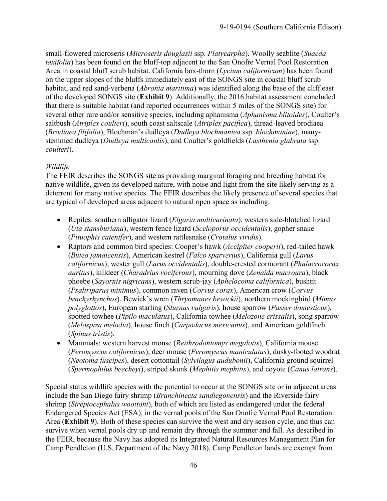small-flowered microseris (*Microseris douglasii* ssp. *Platycarpha*). Woolly seablite (*Suaeda taxifolia*) has been found on the bluff-top adjacent to the San Onofre Vernal Pool Restoration Area in coastal bluff scrub habitat. California box-thorn (*Lycium californicum*) has been found on the upper slopes of the bluffs immediately east of the SONGS site in coastal bluff scrub habitat, and red sand-verbena (*Abronia maritima*) was identified along the base of the cliff east of the developed SONGS site (**Exhibit 9**). Additionally, the 2016 habitat assessment concluded that there is suitable habitat (and reported occurrences within 5 miles of the SONGS site) for several other rare and/or sensitive species, including aphanisma (*Aphanisma blitoides*), Coulter's saltbush (*Atriplex coulteri*), south coast saltscale (*Atriplex pacifica*), thread-leaved brodiaea (*Brodiaea filifolia*), Blochman's dudleya (*Dudleya blochmaniea* ssp. *blochmaniae*), manystemmed dudleya (*Dudleya multicaulis*), and Coulter's goldfields (*Lasthenia glabrata* ssp. *coulteri*).

## *Wildlife*

The FEIR describes the SONGS site as providing marginal foraging and breeding habitat for native wildlife, given its developed nature, with noise and light from the site likely serving as a deterrent for many native species. The FEIR describes the likely presence of several species that are typical of developed areas adjacent to natural open space as including:

- Repiles: southern alligator lizard (*Elgaria multicarinata*), western side-blotched lizard (*Uta stansburiana*), western fence lizard (*Sceloporus occidentalis*), gopher snake (*Pituophis catenifer*), and western rattlesnake (*Crotalus viridis*).
- Raptors and common bird species: Cooper's hawk (*Accipiter cooperii*), red-tailed hawk (*Buteo jamaicensis*), American kestrel (*Falco sparverius*), California gull (*Larus californicus*), wester gull (*Larus occidentalis*), double-crested cormorant (*Phalacrocorax auritus*), killdeer (*Charadrius vociferous*), mourning dove (*Zenaida macroura*), black phoebe (*Sayornis nigricans*), western scrub-jay (*Aphelocoma californica*), bushtit (*Psaltriparus minimus*), common raven (*Corvus corax*), American crow (*Corvus brachyrhynchos*), Bewick's wren (*Thryomanes bewickii*), northern mockingbird (*Mimus polyglottos*), European starling (*Sturnus vulgaris*), house sparrow (*Passer domesticus*), spotted towhee (*Pipilo maculatus*), California towhee (*Melozone crissalis*), song sparrow (*Melospiza melodia*), house finch (*Carpodacus mexicanus*), and American goldfinch (*Spinus tristis*).
- Mammals: western harvest mouse (*Reithrodontomys megalotis*), California mouse (*Peromyscus californicus*), deer mouse (*Peromyscus maniculatus*), dusky-footed woodrat (*Neotoma fuscipes*), desert cottontail (*Sylvilagus audubonii*), California ground squirrel (*Spermophilus beecheyi*), striped skunk (*Mephitis mephitis*), and coyote (*Canus latrans*).

Special status wildlife species with the potential to occur at the SONGS site or in adjacent areas include the San Diego fairy shrimp (*Branchinecta sandiegonensis*) and the Riverside fairy shrimp (*Streptocephalus woottoni*), both of which are listed as endangered under the federal Endangered Species Act (ESA), in the vernal pools of the San Onofre Vernal Pool Restoration Area (**Exhibit 9**). Both of these species can survive the west and dry season cycle, and thus can survive when vernal pools dry up and remain dry through the summer and fall. As described in the FEIR, because the Navy has adopted its Integrated Natural Resources Management Plan for Camp Pendleton (U.S. Department of the Navy 2018), Camp Pendleton lands are exempt from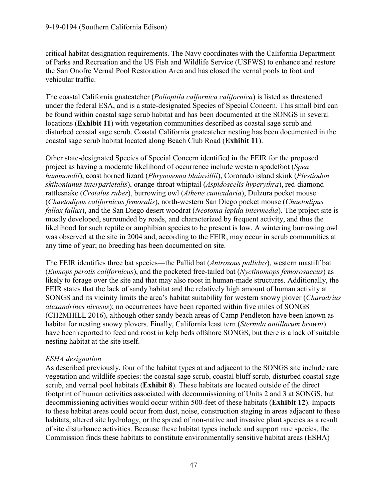#### 9-19-0194 (Southern California Edison)

critical habitat designation requirements. The Navy coordinates with the California Department of Parks and Recreation and the US Fish and Wildlife Service (USFWS) to enhance and restore the San Onofre Vernal Pool Restoration Area and has closed the vernal pools to foot and vehicular traffic.

The coastal California gnatcatcher (*Polioptila calfornica californica*) is listed as threatened under the federal ESA, and is a state-designated Species of Special Concern. This small bird can be found within coastal sage scrub habitat and has been documented at the SONGS in several locations (**Exhibit 11**) with vegetation communities described as coastal sage scrub and disturbed coastal sage scrub. Coastal California gnatcatcher nesting has been documented in the coastal sage scrub habitat located along Beach Club Road (**Exhibit 11**).

Other state-designated Species of Special Concern identified in the FEIR for the proposed project as having a moderate likelihood of occurrence include western spadefoot (*Spea hammondii*), coast horned lizard (*Phrynosoma blainvillii*), Coronado island skink (*Plestiodon skiltonianus interparietalis*), orange-throat whiptail (*Aspidoscelis hyperythra*), red-diamond rattlesnake (*Crotalus ruber*), burrowing owl (*Athene cunicularia*), Dulzura pocket mouse (*Chaetodipus californicus femoralis*), north-western San Diego pocket mouse (*Chaetodipus fallax fallax*), and the San Diego desert woodrat (*Neotoma lepida intermedia*). The project site is mostly developed, surrounded by roads, and characterized by frequent activity, and thus the likelihood for such reptile or amphibian species to be present is low. A wintering burrowing owl was observed at the site in 2004 and, according to the FEIR, may occur in scrub communities at any time of year; no breeding has been documented on site.

The FEIR identifies three bat species—the Pallid bat (*Antrozous pallidus*), western mastiff bat (*Eumops perotis californicus*), and the pocketed free-tailed bat (*Nyctinomops femorosaccus*) as likely to forage over the site and that may also roost in human-made structures. Additionally, the FEIR states that the lack of sandy habitat and the relatively high amount of human activity at SONGS and its vicinity limits the area's habitat suitability for western snowy plover (*Charadrius alexandrines nivosus*); no occurrences have been reported within five miles of SONGS (CH2MHILL 2016), although other sandy beach areas of Camp Pendleton have been known as habitat for nesting snowy plovers. Finally, California least tern (*Sternula antillarum browni*) have been reported to feed and roost in kelp beds offshore SONGS, but there is a lack of suitable nesting habitat at the site itself.

#### *ESHA designation*

As described previously, four of the habitat types at and adjacent to the SONGS site include rare vegetation and wildlife species: the coastal sage scrub, coastal bluff scrub, disturbed coastal sage scrub, and vernal pool habitats (**Exhibit 8**). These habitats are located outside of the direct footprint of human activities associated with decommissioning of Units 2 and 3 at SONGS, but decommissioning activities would occur within 500-feet of these habitats (**Exhibit 12**). Impacts to these habitat areas could occur from dust, noise, construction staging in areas adjacent to these habitats, altered site hydrology, or the spread of non-native and invasive plant species as a result of site disturbance activities. Because these habitat types include and support rare species, the Commission finds these habitats to constitute environmentally sensitive habitat areas (ESHA)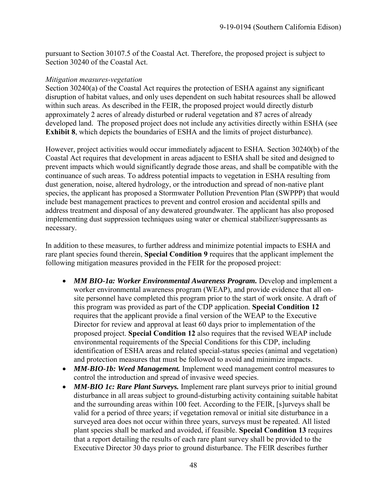pursuant to Section 30107.5 of the Coastal Act. Therefore, the proposed project is subject to Section 30240 of the Coastal Act.

#### *Mitigation measures-vegetation*

Section 30240(a) of the Coastal Act requires the protection of ESHA against any significant disruption of habitat values, and only uses dependent on such habitat resources shall be allowed within such areas. As described in the FEIR, the proposed project would directly disturb approximately 2 acres of already disturbed or ruderal vegetation and 87 acres of already developed land. The proposed project does not include any activities directly within ESHA (see **Exhibit 8**, which depicts the boundaries of ESHA and the limits of project disturbance).

However, project activities would occur immediately adjacent to ESHA. Section 30240(b) of the Coastal Act requires that development in areas adjacent to ESHA shall be sited and designed to prevent impacts which would significantly degrade those areas, and shall be compatible with the continuance of such areas. To address potential impacts to vegetation in ESHA resulting from dust generation, noise, altered hydrology, or the introduction and spread of non-native plant species, the applicant has proposed a Stormwater Pollution Prevention Plan (SWPPP) that would include best management practices to prevent and control erosion and accidental spills and address treatment and disposal of any dewatered groundwater. The applicant has also proposed implementing dust suppression techniques using water or chemical stabilizer/suppressants as necessary.

In addition to these measures, to further address and minimize potential impacts to ESHA and rare plant species found therein, **Special Condition 9** requires that the applicant implement the following mitigation measures provided in the FEIR for the proposed project:

- *MM BIO-1a: Worker Environmental Awareness Program.* Develop and implement a worker environmental awareness program (WEAP), and provide evidence that all onsite personnel have completed this program prior to the start of work onsite. A draft of this program was provided as part of the CDP application. **Special Condition 12** requires that the applicant provide a final version of the WEAP to the Executive Director for review and approval at least 60 days prior to implementation of the proposed project. **Special Condition 12** also requires that the revised WEAP include environmental requirements of the Special Conditions for this CDP, including identification of ESHA areas and related special-status species (animal and vegetation) and protection measures that must be followed to avoid and minimize impacts.
- *MM-BIO-1b: Weed Management.* Implement weed management control measures to control the introduction and spread of invasive weed species.
- *MM-BIO 1c: Rare Plant Surveys.* Implement rare plant surveys prior to initial ground disturbance in all areas subject to ground-disturbing activity containing suitable habitat and the surrounding areas within 100 feet. According to the FEIR, [s]urveys shall be valid for a period of three years; if vegetation removal or initial site disturbance in a surveyed area does not occur within three years, surveys must be repeated. All listed plant species shall be marked and avoided, if feasible. **Special Condition 13** requires that a report detailing the results of each rare plant survey shall be provided to the Executive Director 30 days prior to ground disturbance. The FEIR describes further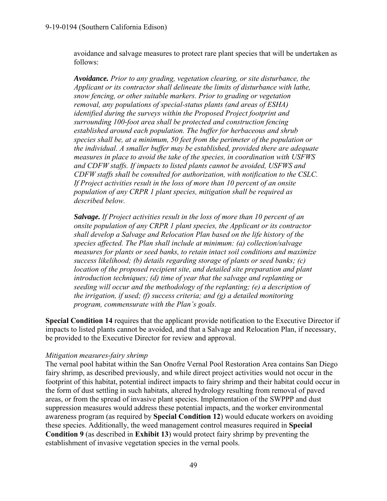avoidance and salvage measures to protect rare plant species that will be undertaken as follows:

*Avoidance. Prior to any grading, vegetation clearing, or site disturbance, the Applicant or its contractor shall delineate the limits of disturbance with lathe, snow fencing, or other suitable markers. Prior to grading or vegetation removal, any populations of special-status plants (and areas of ESHA) identified during the surveys within the Proposed Project footprint and surrounding 100-foot area shall be protected and construction fencing established around each population. The buffer for herbaceous and shrub species shall be, at a minimum, 50 feet from the perimeter of the population or the individual. A smaller buffer may be established, provided there are adequate measures in place to avoid the take of the species, in coordination with USFWS and CDFW staffs. If impacts to listed plants cannot be avoided, USFWS and CDFW staffs shall be consulted for authorization, with notification to the CSLC. If Project activities result in the loss of more than 10 percent of an onsite population of any CRPR 1 plant species, mitigation shall be required as described below.* 

*Salvage. If Project activities result in the loss of more than 10 percent of an onsite population of any CRPR 1 plant species, the Applicant or its contractor shall develop a Salvage and Relocation Plan based on the life history of the species affected. The Plan shall include at minimum: (a) collection/salvage measures for plants or seed banks, to retain intact soil conditions and maximize success likelihood; (b) details regarding storage of plants or seed banks; (c) location of the proposed recipient site, and detailed site preparation and plant introduction techniques; (d) time of year that the salvage and replanting or seeding will occur and the methodology of the replanting; (e) a description of the irrigation, if used; (f) success criteria; and (g) a detailed monitoring program, commensurate with the Plan's goals.* 

**Special Condition 14** requires that the applicant provide notification to the Executive Director if impacts to listed plants cannot be avoided, and that a Salvage and Relocation Plan, if necessary, be provided to the Executive Director for review and approval.

#### *Mitigation measures-fairy shrimp*

The vernal pool habitat within the San Onofre Vernal Pool Restoration Area contains San Diego fairy shrimp, as described previously, and while direct project activities would not occur in the footprint of this habitat, potential indirect impacts to fairy shrimp and their habitat could occur in the form of dust settling in such habitats, altered hydrology resulting from removal of paved areas, or from the spread of invasive plant species. Implementation of the SWPPP and dust suppression measures would address these potential impacts, and the worker environmental awareness program (as required by **Special Condition 12**) would educate workers on avoiding these species. Additionally, the weed management control measures required in **Special Condition 9** (as described in **Exhibit 13**) would protect fairy shrimp by preventing the establishment of invasive vegetation species in the vernal pools.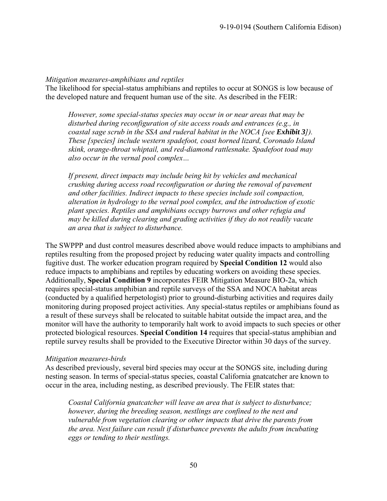#### *Mitigation measures-amphibians and reptiles*

The likelihood for special-status amphibians and reptiles to occur at SONGS is low because of the developed nature and frequent human use of the site. As described in the FEIR:

*However, some special-status species may occur in or near areas that may be disturbed during reconfiguration of site access roads and entrances (e.g., in coastal sage scrub in the SSA and ruderal habitat in the NOCA [see <i>Exhibit 3*]). *These [species] include western spadefoot, coast horned lizard, Coronado Island skink, orange-throat whiptail, and red-diamond rattlesnake. Spadefoot toad may also occur in the vernal pool complex…* 

*If present, direct impacts may include being hit by vehicles and mechanical crushing during access road reconfiguration or during the removal of pavement and other facilities. Indirect impacts to these species include soil compaction, alteration in hydrology to the vernal pool complex, and the introduction of exotic plant species. Reptiles and amphibians occupy burrows and other refugia and may be killed during clearing and grading activities if they do not readily vacate an area that is subject to disturbance.*

The SWPPP and dust control measures described above would reduce impacts to amphibians and reptiles resulting from the proposed project by reducing water quality impacts and controlling fugitive dust. The worker education program required by **Special Condition 12** would also reduce impacts to amphibians and reptiles by educating workers on avoiding these species. Additionally, **Special Condition 9** incorporates FEIR Mitigation Measure BIO-2a, which requires special-status amphibian and reptile surveys of the SSA and NOCA habitat areas (conducted by a qualified herpetologist) prior to ground-disturbing activities and requires daily monitoring during proposed project activities. Any special-status reptiles or amphibians found as a result of these surveys shall be relocated to suitable habitat outside the impact area, and the monitor will have the authority to temporarily halt work to avoid impacts to such species or other protected biological resources. **Special Condition 14** requires that special-status amphibian and reptile survey results shall be provided to the Executive Director within 30 days of the survey.

#### *Mitigation measures-birds*

As described previously, several bird species may occur at the SONGS site, including during nesting season. In terms of special-status species, coastal California gnatcatcher are known to occur in the area, including nesting, as described previously. The FEIR states that:

*Coastal California gnatcatcher will leave an area that is subject to disturbance; however, during the breeding season, nestlings are confined to the nest and vulnerable from vegetation clearing or other impacts that drive the parents from the area. Nest failure can result if disturbance prevents the adults from incubating eggs or tending to their nestlings.*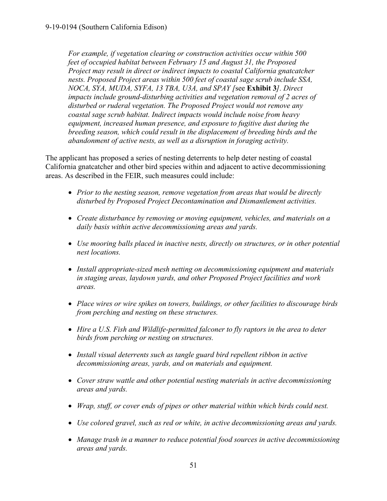*For example, if vegetation clearing or construction activities occur within 500 feet of occupied habitat between February 15 and August 31, the Proposed Project may result in direct or indirect impacts to coastal California gnatcatcher nests. Proposed Project areas within 500 feet of coastal sage scrub include SSA, NOCA, SYA, MUDA, SYFA, 13 TBA, U3A, and SPAY [*see **Exhibit 3***]. Direct impacts include ground-disturbing activities and vegetation removal of 2 acres of disturbed or ruderal vegetation. The Proposed Project would not remove any coastal sage scrub habitat. Indirect impacts would include noise from heavy equipment, increased human presence, and exposure to fugitive dust during the breeding season, which could result in the displacement of breeding birds and the abandonment of active nests, as well as a disruption in foraging activity.* 

The applicant has proposed a series of nesting deterrents to help deter nesting of coastal California gnatcatcher and other bird species within and adjacent to active decommissioning areas. As described in the FEIR, such measures could include:

- *Prior to the nesting season, remove vegetation from areas that would be directly disturbed by Proposed Project Decontamination and Dismantlement activities.*
- *Create disturbance by removing or moving equipment, vehicles, and materials on a daily basis within active decommissioning areas and yards.*
- *Use mooring balls placed in inactive nests, directly on structures, or in other potential nest locations.*
- *Install appropriate-sized mesh netting on decommissioning equipment and materials in staging areas, laydown yards, and other Proposed Project facilities and work areas.*
- *Place wires or wire spikes on towers, buildings, or other facilities to discourage birds from perching and nesting on these structures.*
- *Hire a U.S. Fish and Wildlife-permitted falconer to fly raptors in the area to deter birds from perching or nesting on structures.*
- *Install visual deterrents such as tangle guard bird repellent ribbon in active decommissioning areas, yards, and on materials and equipment.*
- *Cover straw wattle and other potential nesting materials in active decommissioning areas and yards.*
- *Wrap, stuff, or cover ends of pipes or other material within which birds could nest.*
- *Use colored gravel, such as red or white, in active decommissioning areas and yards.*
- *Manage trash in a manner to reduce potential food sources in active decommissioning areas and yards.*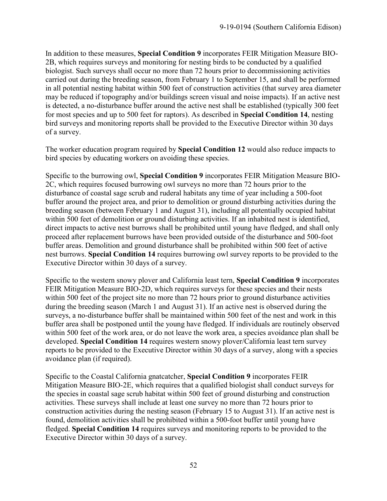In addition to these measures, **Special Condition 9** incorporates FEIR Mitigation Measure BIO-2B, which requires surveys and monitoring for nesting birds to be conducted by a qualified biologist. Such surveys shall occur no more than 72 hours prior to decommissioning activities carried out during the breeding season, from February 1 to September 15, and shall be performed in all potential nesting habitat within 500 feet of construction activities (that survey area diameter may be reduced if topography and/or buildings screen visual and noise impacts). If an active nest is detected, a no-disturbance buffer around the active nest shall be established (typically 300 feet for most species and up to 500 feet for raptors). As described in **Special Condition 14**, nesting bird surveys and monitoring reports shall be provided to the Executive Director within 30 days of a survey.

The worker education program required by **Special Condition 12** would also reduce impacts to bird species by educating workers on avoiding these species.

Specific to the burrowing owl, **Special Condition 9** incorporates FEIR Mitigation Measure BIO-2C, which requires focused burrowing owl surveys no more than 72 hours prior to the disturbance of coastal sage scrub and ruderal habitats any time of year including a 500-foot buffer around the project area, and prior to demolition or ground disturbing activities during the breeding season (between February 1 and August 31), including all potentially occupied habitat within 500 feet of demolition or ground disturbing activities. If an inhabited nest is identified, direct impacts to active nest burrows shall be prohibited until young have fledged, and shall only proceed after replacement burrows have been provided outside of the disturbance and 500-foot buffer areas. Demolition and ground disturbance shall be prohibited within 500 feet of active nest burrows. **Special Condition 14** requires burrowing owl survey reports to be provided to the Executive Director within 30 days of a survey.

Specific to the western snowy plover and California least tern, **Special Condition 9** incorporates FEIR Mitigation Measure BIO-2D, which requires surveys for these species and their nests within 500 feet of the project site no more than 72 hours prior to ground disturbance activities during the breeding season (March 1 and August 31). If an active nest is observed during the surveys, a no-disturbance buffer shall be maintained within 500 feet of the nest and work in this buffer area shall be postponed until the young have fledged. If individuals are routinely observed within 500 feet of the work area, or do not leave the work area, a species avoidance plan shall be developed. **Special Condition 14** requires western snowy plover/California least tern survey reports to be provided to the Executive Director within 30 days of a survey, along with a species avoidance plan (if required).

Specific to the Coastal California gnatcatcher, **Special Condition 9** incorporates FEIR Mitigation Measure BIO-2E, which requires that a qualified biologist shall conduct surveys for the species in coastal sage scrub habitat within 500 feet of ground disturbing and construction activities. These surveys shall include at least one survey no more than 72 hours prior to construction activities during the nesting season (February 15 to August 31). If an active nest is found, demolition activities shall be prohibited within a 500-foot buffer until young have fledged. **Special Condition 14** requires surveys and monitoring reports to be provided to the Executive Director within 30 days of a survey.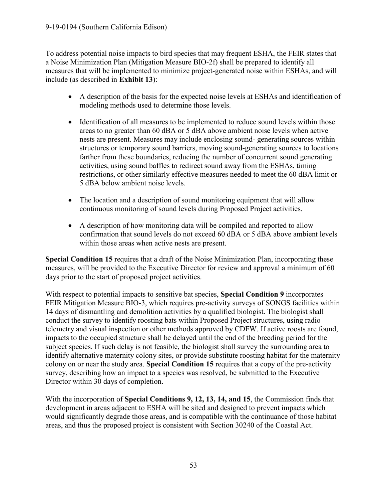#### 9-19-0194 (Southern California Edison)

To address potential noise impacts to bird species that may frequent ESHA, the FEIR states that a Noise Minimization Plan (Mitigation Measure BIO-2f) shall be prepared to identify all measures that will be implemented to minimize project-generated noise within ESHAs, and will include (as described in **Exhibit 13**):

- A description of the basis for the expected noise levels at ESHAs and identification of modeling methods used to determine those levels.
- Identification of all measures to be implemented to reduce sound levels within those areas to no greater than 60 dBA or 5 dBA above ambient noise levels when active nests are present. Measures may include enclosing sound- generating sources within structures or temporary sound barriers, moving sound-generating sources to locations farther from these boundaries, reducing the number of concurrent sound generating activities, using sound baffles to redirect sound away from the ESHAs, timing restrictions, or other similarly effective measures needed to meet the 60 dBA limit or 5 dBA below ambient noise levels.
- The location and a description of sound monitoring equipment that will allow continuous monitoring of sound levels during Proposed Project activities.
- A description of how monitoring data will be compiled and reported to allow confirmation that sound levels do not exceed 60 dBA or 5 dBA above ambient levels within those areas when active nests are present.

**Special Condition 15** requires that a draft of the Noise Minimization Plan, incorporating these measures, will be provided to the Executive Director for review and approval a minimum of 60 days prior to the start of proposed project activities.

With respect to potential impacts to sensitive bat species, **Special Condition 9** incorporates FEIR Mitigation Measure BIO-3, which requires pre-activity surveys of SONGS facilities within 14 days of dismantling and demolition activities by a qualified biologist. The biologist shall conduct the survey to identify roosting bats within Proposed Project structures, using radio telemetry and visual inspection or other methods approved by CDFW. If active roosts are found, impacts to the occupied structure shall be delayed until the end of the breeding period for the subject species. If such delay is not feasible, the biologist shall survey the surrounding area to identify alternative maternity colony sites, or provide substitute roosting habitat for the maternity colony on or near the study area. **Special Condition 15** requires that a copy of the pre-activity survey, describing how an impact to a species was resolved, be submitted to the Executive Director within 30 days of completion.

With the incorporation of **Special Conditions 9, 12, 13, 14, and 15**, the Commission finds that development in areas adjacent to ESHA will be sited and designed to prevent impacts which would significantly degrade those areas, and is compatible with the continuance of those habitat areas, and thus the proposed project is consistent with Section 30240 of the Coastal Act.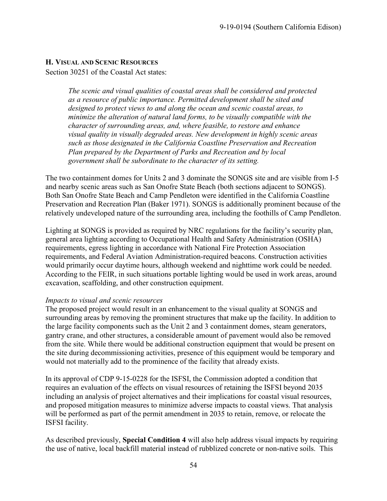#### <span id="page-53-0"></span>**H. VISUAL AND SCENIC RESOURCES**

Section 30251 of the Coastal Act states:

*The scenic and visual qualities of coastal areas shall be considered and protected as a resource of public importance. Permitted development shall be sited and designed to protect views to and along the ocean and scenic coastal areas, to minimize the alteration of natural land forms, to be visually compatible with the character of surrounding areas, and, where feasible, to restore and enhance visual quality in visually degraded areas. New development in highly scenic areas such as those designated in the California Coastline Preservation and Recreation Plan prepared by the Department of Parks and Recreation and by local government shall be subordinate to the character of its setting.* 

The two containment domes for Units 2 and 3 dominate the SONGS site and are visible from I-5 and nearby scenic areas such as San Onofre State Beach (both sections adjacent to SONGS). Both San Onofre State Beach and Camp Pendleton were identified in the California Coastline Preservation and Recreation Plan (Baker 1971). SONGS is additionally prominent because of the relatively undeveloped nature of the surrounding area, including the foothills of Camp Pendleton.

Lighting at SONGS is provided as required by NRC regulations for the facility's security plan, general area lighting according to Occupational Health and Safety Administration (OSHA) requirements, egress lighting in accordance with National Fire Protection Association requirements, and Federal Aviation Administration-required beacons. Construction activities would primarily occur daytime hours, although weekend and nighttime work could be needed. According to the FEIR, in such situations portable lighting would be used in work areas, around excavation, scaffolding, and other construction equipment.

#### *Impacts to visual and scenic resources*

The proposed project would result in an enhancement to the visual quality at SONGS and surrounding areas by removing the prominent structures that make up the facility. In addition to the large facility components such as the Unit 2 and 3 containment domes, steam generators, gantry crane, and other structures, a considerable amount of pavement would also be removed from the site. While there would be additional construction equipment that would be present on the site during decommissioning activities, presence of this equipment would be temporary and would not materially add to the prominence of the facility that already exists.

In its approval of CDP 9-15-0228 for the ISFSI, the Commission adopted a condition that requires an evaluation of the effects on visual resources of retaining the ISFSI beyond 2035 including an analysis of project alternatives and their implications for coastal visual resources, and proposed mitigation measures to minimize adverse impacts to coastal views. That analysis will be performed as part of the permit amendment in 2035 to retain, remove, or relocate the ISFSI facility.

As described previously, **Special Condition 4** will also help address visual impacts by requiring the use of native, local backfill material instead of rubblized concrete or non-native soils. This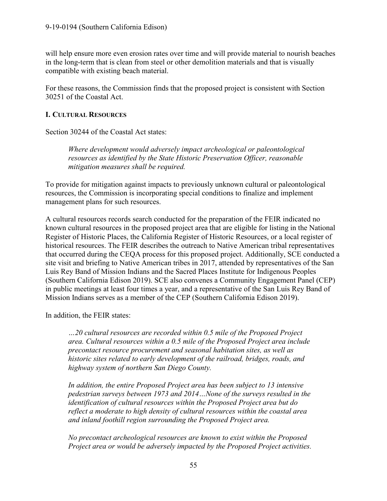will help ensure more even erosion rates over time and will provide material to nourish beaches in the long-term that is clean from steel or other demolition materials and that is visually compatible with existing beach material.

For these reasons, the Commission finds that the proposed project is consistent with Section 30251 of the Coastal Act.

#### <span id="page-54-0"></span>**I. CULTURAL RESOURCES**

Section 30244 of the Coastal Act states:

*Where development would adversely impact archeological or paleontological resources as identified by the State Historic Preservation Officer, reasonable mitigation measures shall be required.* 

To provide for mitigation against impacts to previously unknown cultural or paleontological resources, the Commission is incorporating special conditions to finalize and implement management plans for such resources.

A cultural resources records search conducted for the preparation of the FEIR indicated no known cultural resources in the proposed project area that are eligible for listing in the National Register of Historic Places, the California Register of Historic Resources, or a local register of historical resources. The FEIR describes the outreach to Native American tribal representatives that occurred during the CEQA process for this proposed project. Additionally, SCE conducted a site visit and briefing to Native American tribes in 2017, attended by representatives of the San Luis Rey Band of Mission Indians and the Sacred Places Institute for Indigenous Peoples (Southern California Edison 2019). SCE also convenes a Community Engagement Panel (CEP) in public meetings at least four times a year, and a representative of the San Luis Rey Band of Mission Indians serves as a member of the CEP (Southern California Edison 2019).

In addition, the FEIR states:

*…20 cultural resources are recorded within 0.5 mile of the Proposed Project area. Cultural resources within a 0.5 mile of the Proposed Project area include precontact resource procurement and seasonal habitation sites, as well as historic sites related to early development of the railroad, bridges, roads, and highway system of northern San Diego County.* 

*In addition, the entire Proposed Project area has been subject to 13 intensive pedestrian surveys between 1973 and 2014…None of the surveys resulted in the identification of cultural resources within the Proposed Project area but do reflect a moderate to high density of cultural resources within the coastal area and inland foothill region surrounding the Proposed Project area.* 

*No precontact archeological resources are known to exist within the Proposed Project area or would be adversely impacted by the Proposed Project activities.*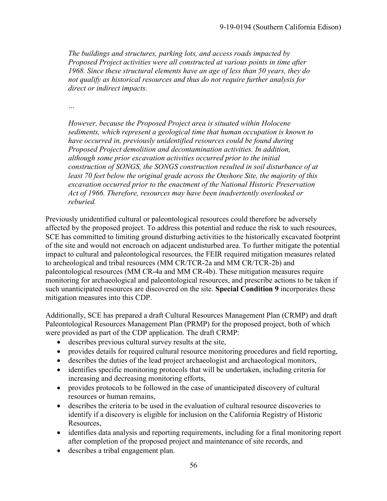*The buildings and structures, parking lots, and access roads impacted by Proposed Project activities were all constructed at various points in time after 1968. Since these structural elements have an age of less than 50 years, they do not qualify as historical resources and thus do not require further analysis for direct or indirect impacts.* 

*…* 

*However, because the Proposed Project area is situated within Holocene sediments, which represent a geological time that human occupation is known to have occurred in, previously unidentified resources could be found during Proposed Project demolition and decontamination activities. In addition, although some prior excavation activities occurred prior to the initial construction of SONGS, the SONGS construction resulted in soil disturbance of at least 70 feet below the original grade across the Onshore Site, the majority of this excavation occurred prior to the enactment of the National Historic Preservation Act of 1966. Therefore, resources may have been inadvertently overlooked or reburied.* 

Previously unidentified cultural or paleontological resources could therefore be adversely affected by the proposed project. To address this potential and reduce the risk to such resources, SCE has committed to limiting ground disturbing activities to the historically excavated footprint of the site and would not encroach on adjacent undisturbed area. To further mitigate the potential impact to cultural and paleontological resources, the FEIR required mitigation measures related to archeological and tribal resources (MM CR/TCR-2a and MM CR/TCR-2b) and paleontological resources (MM CR-4a and MM CR-4b). These mitigation measures require monitoring for archaeological and paleontological resources, and prescribe actions to be taken if such unanticipated resources are discovered on the site. **Special Condition 9** incorporates these mitigation measures into this CDP.

Additionally, SCE has prepared a draft Cultural Resources Management Plan (CRMP) and draft Paleontological Resources Management Plan (PRMP) for the proposed project, both of which were provided as part of the CDP application. The draft CRMP:

- describes previous cultural survey results at the site,
- provides details for required cultural resource monitoring procedures and field reporting,
- describes the duties of the lead project archaeologist and archaeological monitors,
- identifies specific monitoring protocols that will be undertaken, including criteria for increasing and decreasing monitoring efforts,
- provides protocols to be followed in the case of unanticipated discovery of cultural resources or human remains,
- describes the criteria to be used in the evaluation of cultural resource discoveries to identify if a discovery is eligible for inclusion on the California Registry of Historic Resources,
- identifies data analysis and reporting requirements, including for a final monitoring report after completion of the proposed project and maintenance of site records, and
- describes a tribal engagement plan.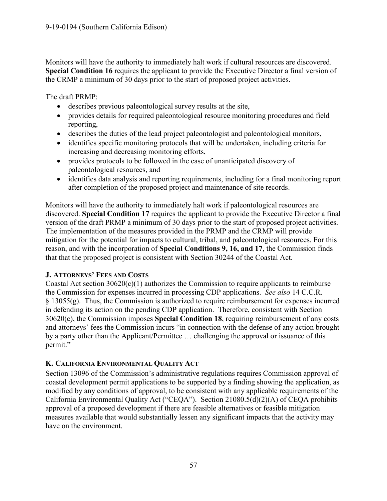Monitors will have the authority to immediately halt work if cultural resources are discovered. **Special Condition 16** requires the applicant to provide the Executive Director a final version of the CRMP a minimum of 30 days prior to the start of proposed project activities.

The draft PRMP:

- describes previous paleontological survey results at the site,
- provides details for required paleontological resource monitoring procedures and field reporting,
- describes the duties of the lead project paleontologist and paleontological monitors,
- identifies specific monitoring protocols that will be undertaken, including criteria for increasing and decreasing monitoring efforts,
- provides protocols to be followed in the case of unanticipated discovery of paleontological resources, and
- identifies data analysis and reporting requirements, including for a final monitoring report after completion of the proposed project and maintenance of site records.

Monitors will have the authority to immediately halt work if paleontological resources are discovered. **Special Condition 17** requires the applicant to provide the Executive Director a final version of the draft PRMP a minimum of 30 days prior to the start of proposed project activities. The implementation of the measures provided in the PRMP and the CRMP will provide mitigation for the potential for impacts to cultural, tribal, and paleontological resources. For this reason, and with the incorporation of **Special Conditions 9, 16, and 17**, the Commission finds that that the proposed project is consistent with Section 30244 of the Coastal Act.

## <span id="page-56-0"></span>**J. ATTORNEYS' FEES AND COSTS**

Coastal Act section  $30620(c)(1)$  authorizes the Commission to require applicants to reimburse the Commission for expenses incurred in processing CDP applications. *See also* 14 C.C.R. § 13055(g). Thus, the Commission is authorized to require reimbursement for expenses incurred in defending its action on the pending CDP application. Therefore, consistent with Section 30620(c), the Commission imposes **Special Condition 18**, requiring reimbursement of any costs and attorneys' fees the Commission incurs "in connection with the defense of any action brought by a party other than the Applicant/Permittee … challenging the approval or issuance of this permit."

## <span id="page-56-1"></span>**K. CALIFORNIA ENVIRONMENTAL QUALITY ACT**

Section 13096 of the Commission's administrative regulations requires Commission approval of coastal development permit applications to be supported by a finding showing the application, as modified by any conditions of approval, to be consistent with any applicable requirements of the California Environmental Quality Act ("CEQA"). Section 21080.5(d)(2)(A) of CEQA prohibits approval of a proposed development if there are feasible alternatives or feasible mitigation measures available that would substantially lessen any significant impacts that the activity may have on the environment.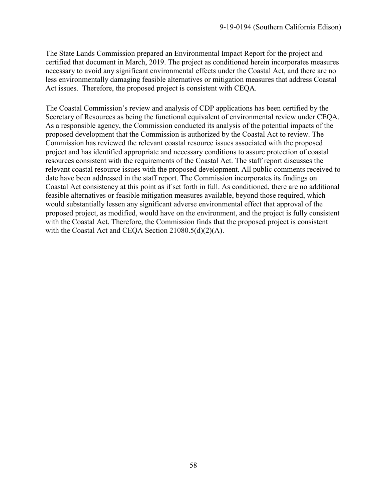The State Lands Commission prepared an Environmental Impact Report for the project and certified that document in March, 2019. The project as conditioned herein incorporates measures necessary to avoid any significant environmental effects under the Coastal Act, and there are no less environmentally damaging feasible alternatives or mitigation measures that address Coastal Act issues. Therefore, the proposed project is consistent with CEQA.

The Coastal Commission's review and analysis of CDP applications has been certified by the Secretary of Resources as being the functional equivalent of environmental review under CEQA. As a responsible agency, the Commission conducted its analysis of the potential impacts of the proposed development that the Commission is authorized by the Coastal Act to review. The Commission has reviewed the relevant coastal resource issues associated with the proposed project and has identified appropriate and necessary conditions to assure protection of coastal resources consistent with the requirements of the Coastal Act. The staff report discusses the relevant coastal resource issues with the proposed development. All public comments received to date have been addressed in the staff report. The Commission incorporates its findings on Coastal Act consistency at this point as if set forth in full. As conditioned, there are no additional feasible alternatives or feasible mitigation measures available, beyond those required, which would substantially lessen any significant adverse environmental effect that approval of the proposed project, as modified, would have on the environment, and the project is fully consistent with the Coastal Act. Therefore, the Commission finds that the proposed project is consistent with the Coastal Act and CEQA Section 21080.5(d)(2)(A).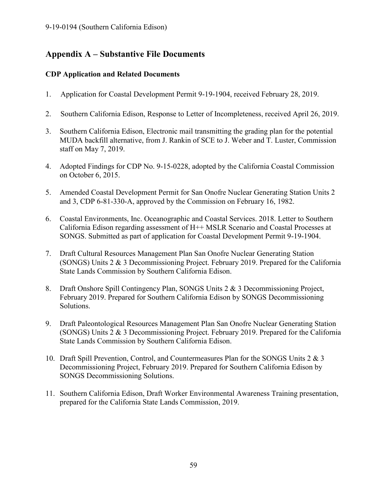## <span id="page-58-0"></span>**Appendix A – Substantive File Documents**

## **CDP Application and Related Documents**

- 1. Application for Coastal Development Permit 9-19-1904, received February 28, 2019.
- 2. Southern California Edison, Response to Letter of Incompleteness, received April 26, 2019.
- 3. Southern California Edison, Electronic mail transmitting the grading plan for the potential MUDA backfill alternative, from J. Rankin of SCE to J. Weber and T. Luster, Commission staff on May 7, 2019.
- 4. Adopted Findings for CDP No. 9-15-0228, adopted by the California Coastal Commission on October 6, 2015.
- 5. Amended Coastal Development Permit for San Onofre Nuclear Generating Station Units 2 and 3, CDP 6-81-330-A, approved by the Commission on February 16, 1982.
- 6. Coastal Environments, Inc. Oceanographic and Coastal Services. 2018. Letter to Southern California Edison regarding assessment of H++ MSLR Scenario and Coastal Processes at SONGS. Submitted as part of application for Coastal Development Permit 9-19-1904.
- 7. Draft Cultural Resources Management Plan San Onofre Nuclear Generating Station (SONGS) Units 2 & 3 Decommissioning Project. February 2019. Prepared for the California State Lands Commission by Southern California Edison.
- 8. Draft Onshore Spill Contingency Plan, SONGS Units 2 & 3 Decommissioning Project, February 2019. Prepared for Southern California Edison by SONGS Decommissioning Solutions.
- 9. Draft Paleontological Resources Management Plan San Onofre Nuclear Generating Station (SONGS) Units 2 & 3 Decommissioning Project. February 2019. Prepared for the California State Lands Commission by Southern California Edison.
- 10. Draft Spill Prevention, Control, and Countermeasures Plan for the SONGS Units 2 & 3 Decommissioning Project, February 2019. Prepared for Southern California Edison by SONGS Decommissioning Solutions.
- 11. Southern California Edison, Draft Worker Environmental Awareness Training presentation, prepared for the California State Lands Commission, 2019.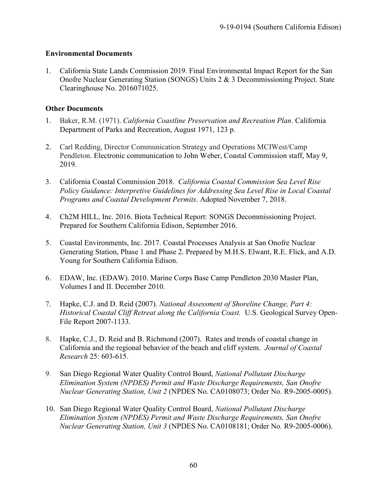## **Environmental Documents**

1. California State Lands Commission 2019. Final Environmental Impact Report for the San Onofre Nuclear Generating Station (SONGS) Units 2 & 3 Decommissioning Project. State Clearinghouse No. 2016071025.

### **Other Documents**

- 1. Baker, R.M. (1971). *California Coastline Preservation and Recreation Plan*. California Department of Parks and Recreation, August 1971, 123 p.
- 2. Carl Redding, Director Communication Strategy and Operations MCIWest/Camp Pendleton. Electronic communication to John Weber, Coastal Commission staff, May 9, 2019.
- 3. California Coastal Commission 2018. *California Coastal Commission Sea Level Rise Policy Guidance: Interpretive Guidelines for Addressing Sea Level Rise in Local Coastal Programs and Coastal Development Permits*. Adopted November 7, 2018.
- 4. Ch2M HILL, Inc. 2016. Biota Technical Report: SONGS Decommissioning Project. Prepared for Southern California Edison, September 2016.
- 5. Coastal Environments, Inc. 2017. Coastal Processes Analysis at San Onofre Nuclear Generating Station, Phase 1 and Phase 2. Prepared by M.H.S. Elwant, R.E. Flick, and A.D. Young for Southern California Edison.
- 6. EDAW, Inc. (EDAW). 2010. Marine Corps Base Camp Pendleton 2030 Master Plan, Volumes I and II. December 2010.
- 7. Hapke, C.J. and D. Reid (2007). *National Assessment of Shoreline Change, Part 4: Historical Coastal Cliff Retreat along the California Coast.* U.S. Geological Survey Open-File Report 2007-1133.
- 8. Hapke, C.J., D. Reid and B. Richmond (2007). Rates and trends of coastal change in California and the regional behavior of the beach and cliff system. *Journal of Coastal Research* 25: 603-615.
- 9. San Diego Regional Water Quality Control Board, *National Pollutant Discharge Elimination System (NPDES) Permit and Waste Discharge Requirements, San Onofre Nuclear Generating Station, Unit 2* (NPDES No. CA0108073; Order No. R9-2005-0005).
- 10. San Diego Regional Water Quality Control Board, *National Pollutant Discharge Elimination System (NPDES) Permit and Waste Discharge Requirements, San Onofre Nuclear Generating Station, Unit 3* (NPDES No. CA0108181; Order No. R9-2005-0006).